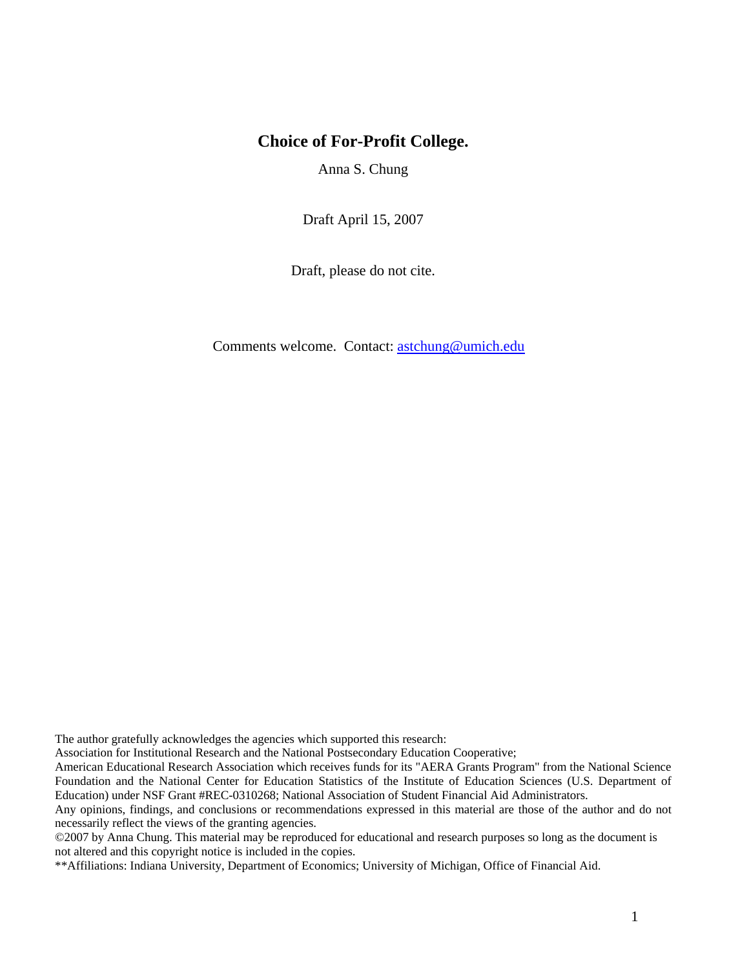# **Choice of For-Profit College.**

Anna S. Chung

Draft April 15, 2007

Draft, please do not cite.

Comments welcome. Contact: [astchung@umich.edu](mailto:astchung@umich.edu)

The author gratefully acknowledges the agencies which supported this research:

Association for Institutional Research and the National Postsecondary Education Cooperative;

American Educational Research Association which receives funds for its "AERA Grants Program" from the National Science Foundation and the National Center for Education Statistics of the Institute of Education Sciences (U.S. Department of Education) under NSF Grant #REC-0310268; National Association of Student Financial Aid Administrators.

Any opinions, findings, and conclusions or recommendations expressed in this material are those of the author and do not necessarily reflect the views of the granting agencies.

©2007 by Anna Chung. This material may be reproduced for educational and research purposes so long as the document is not altered and this copyright notice is included in the copies.

\*\*Affiliations: Indiana University, Department of Economics; University of Michigan, Office of Financial Aid.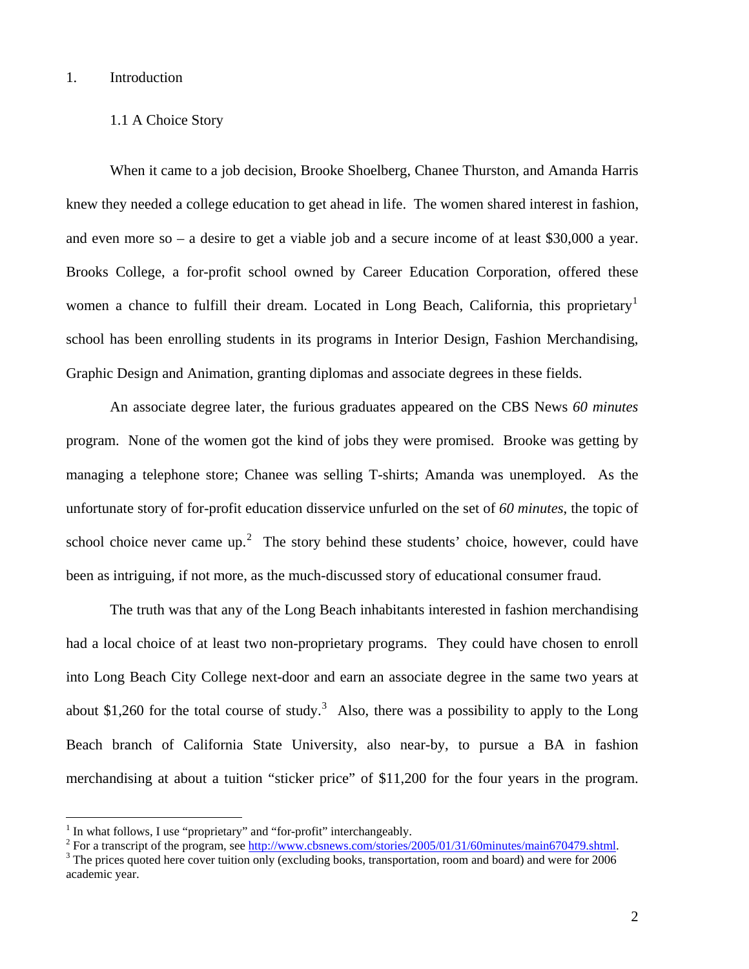#### 1. Introduction

#### 1.1 A Choice Story

When it came to a job decision, Brooke Shoelberg, Chanee Thurston, and Amanda Harris knew they needed a college education to get ahead in life. The women shared interest in fashion, and even more so – a desire to get a viable job and a secure income of at least \$30,000 a year. Brooks College, a for-profit school owned by Career Education Corporation, offered these women a chance to fulfill their dream. Located in Long Beach, California, this proprietary<sup>[1](#page-1-0)</sup> school has been enrolling students in its programs in Interior Design, Fashion Merchandising, Graphic Design and Animation, granting diplomas and associate degrees in these fields.

An associate degree later, the furious graduates appeared on the CBS News *60 minutes* program. None of the women got the kind of jobs they were promised. Brooke was getting by managing a telephone store; Chanee was selling T-shirts; Amanda was unemployed. As the unfortunate story of for-profit education disservice unfurled on the set of *60 minutes*, the topic of school choice never came up.<sup>[2](#page-1-1)</sup> The story behind these students' choice, however, could have been as intriguing, if not more, as the much-discussed story of educational consumer fraud.

The truth was that any of the Long Beach inhabitants interested in fashion merchandising had a local choice of at least two non-proprietary programs. They could have chosen to enroll into Long Beach City College next-door and earn an associate degree in the same two years at about \$1,260 for the total course of study.<sup>[3](#page-1-2)</sup> Also, there was a possibility to apply to the Long Beach branch of California State University, also near-by, to pursue a BA in fashion merchandising at about a tuition "sticker price" of \$11,200 for the four years in the program.

<span id="page-1-0"></span><sup>1</sup> In what follows, I use "proprietary" and "for-profit" interchangeably.

<span id="page-1-1"></span><sup>&</sup>lt;sup>2</sup> For a transcript of the program, see  $\frac{http://www.cbsnews.com/stories/2005/01/31/60minutes/main670479.shtml}{3}$ .

<span id="page-1-2"></span><sup>&</sup>lt;sup>3</sup> The prices quoted here cover tuition only (excluding books, transportation, room and board) and were for 2006 academic year.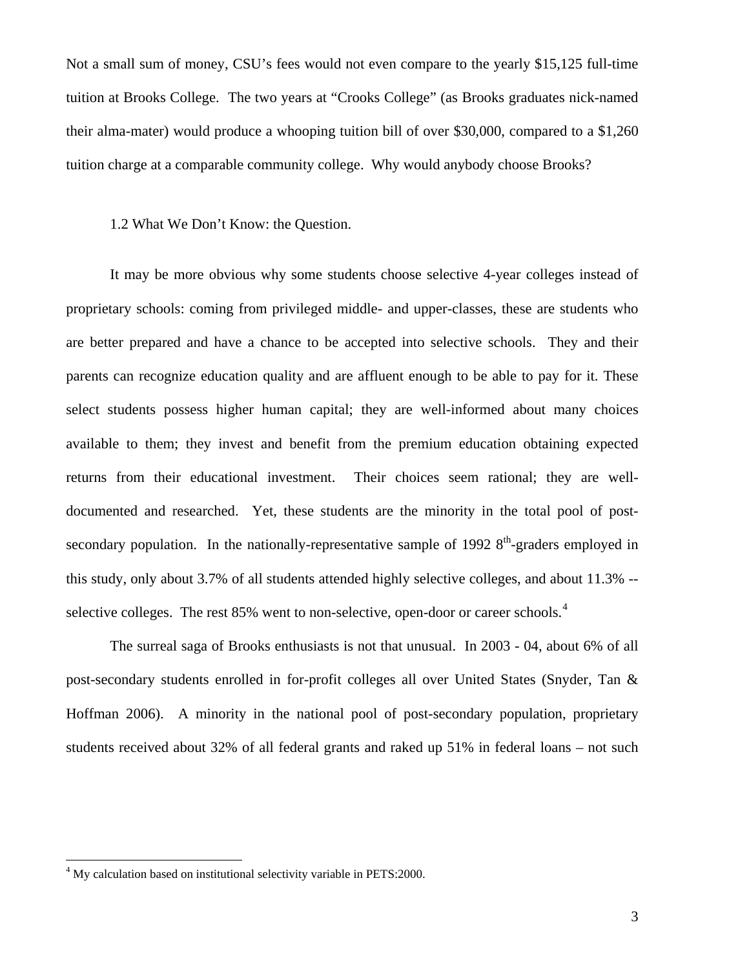Not a small sum of money, CSU's fees would not even compare to the yearly \$15,125 full-time tuition at Brooks College. The two years at "Crooks College" (as Brooks graduates nick-named their alma-mater) would produce a whooping tuition bill of over \$30,000, compared to a \$1,260 tuition charge at a comparable community college. Why would anybody choose Brooks?

### 1.2 What We Don't Know: the Question.

It may be more obvious why some students choose selective 4-year colleges instead of proprietary schools: coming from privileged middle- and upper-classes, these are students who are better prepared and have a chance to be accepted into selective schools. They and their parents can recognize education quality and are affluent enough to be able to pay for it. These select students possess higher human capital; they are well-informed about many choices available to them; they invest and benefit from the premium education obtaining expected returns from their educational investment. Their choices seem rational; they are welldocumented and researched. Yet, these students are the minority in the total pool of postsecondary population. In the nationally-representative sample of 1992  $8<sup>th</sup>$ -graders employed in this study, only about 3.7% of all students attended highly selective colleges, and about 11.3% -- selective colleges. The rest 85% went to non-selective, open-door or career schools.<sup>[4](#page-2-0)</sup>

The surreal saga of Brooks enthusiasts is not that unusual. In 2003 - 04, about 6% of all post-secondary students enrolled in for-profit colleges all over United States (Snyder, Tan & Hoffman 2006). A minority in the national pool of post-secondary population, proprietary students received about 32% of all federal grants and raked up 51% in federal loans – not such

<span id="page-2-0"></span><sup>&</sup>lt;sup>4</sup> My calculation based on institutional selectivity variable in PETS:2000.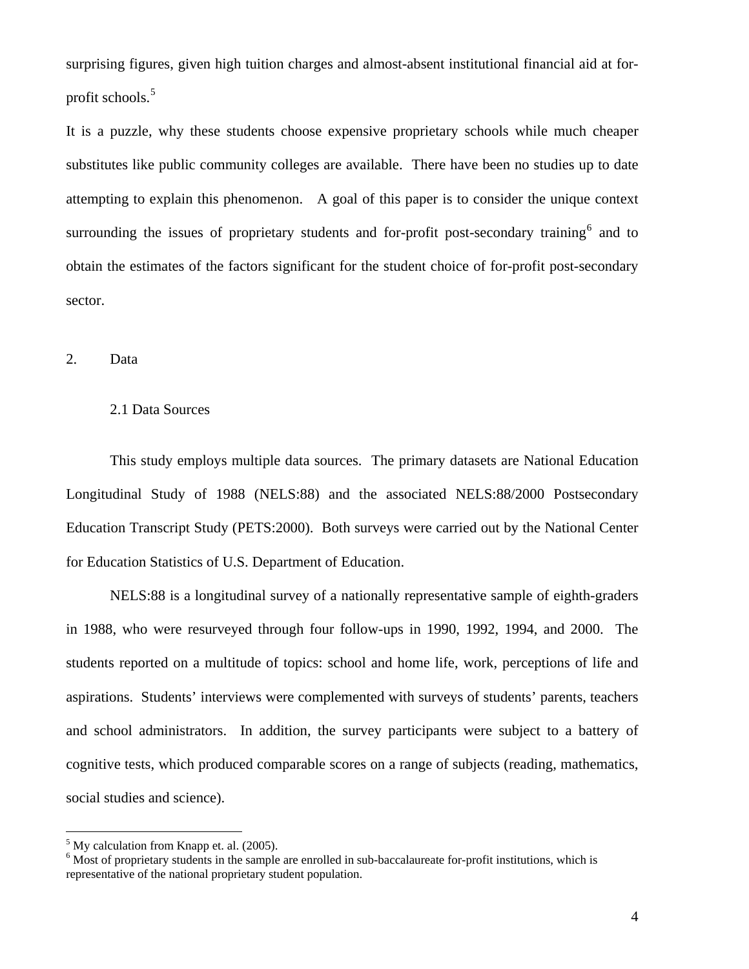surprising figures, given high tuition charges and almost-absent institutional financial aid at for-profit schools.<sup>[5](#page-3-0)</sup>

It is a puzzle, why these students choose expensive proprietary schools while much cheaper substitutes like public community colleges are available. There have been no studies up to date attempting to explain this phenomenon. A goal of this paper is to consider the unique context surrounding the issues of proprietary students and for-profit post-secondary training<sup>[6](#page-3-1)</sup> and to obtain the estimates of the factors significant for the student choice of for-profit post-secondary sector.

2. Data

### 2.1 Data Sources

This study employs multiple data sources. The primary datasets are National Education Longitudinal Study of 1988 (NELS:88) and the associated NELS:88/2000 Postsecondary Education Transcript Study (PETS:2000). Both surveys were carried out by the National Center for Education Statistics of U.S. Department of Education.

NELS:88 is a longitudinal survey of a nationally representative sample of eighth-graders in 1988, who were resurveyed through four follow-ups in 1990, 1992, 1994, and 2000. The students reported on a multitude of topics: school and home life, work, perceptions of life and aspirations. Students' interviews were complemented with surveys of students' parents, teachers and school administrators. In addition, the survey participants were subject to a battery of cognitive tests, which produced comparable scores on a range of subjects (reading, mathematics, social studies and science).

<span id="page-3-0"></span> $<sup>5</sup>$  My calculation from Knapp et. al. (2005).</sup>

<span id="page-3-1"></span><sup>&</sup>lt;sup>6</sup> Most of proprietary students in the sample are enrolled in sub-baccalaureate for-profit institutions, which is representative of the national proprietary student population.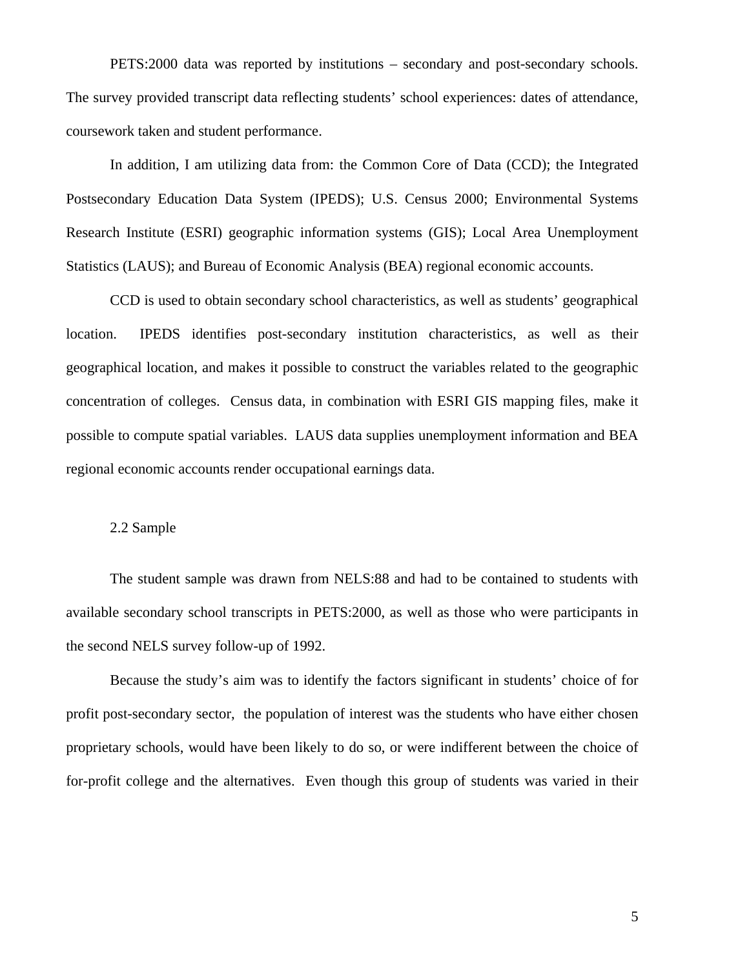PETS:2000 data was reported by institutions – secondary and post-secondary schools. The survey provided transcript data reflecting students' school experiences: dates of attendance, coursework taken and student performance.

In addition, I am utilizing data from: the Common Core of Data (CCD); the Integrated Postsecondary Education Data System (IPEDS); U.S. Census 2000; Environmental Systems Research Institute (ESRI) geographic information systems (GIS); Local Area Unemployment Statistics (LAUS); and Bureau of Economic Analysis (BEA) regional economic accounts.

CCD is used to obtain secondary school characteristics, as well as students' geographical location. IPEDS identifies post-secondary institution characteristics, as well as their geographical location, and makes it possible to construct the variables related to the geographic concentration of colleges. Census data, in combination with ESRI GIS mapping files, make it possible to compute spatial variables. LAUS data supplies unemployment information and BEA regional economic accounts render occupational earnings data.

### 2.2 Sample

The student sample was drawn from NELS:88 and had to be contained to students with available secondary school transcripts in PETS:2000, as well as those who were participants in the second NELS survey follow-up of 1992.

Because the study's aim was to identify the factors significant in students' choice of for profit post-secondary sector, the population of interest was the students who have either chosen proprietary schools, would have been likely to do so, or were indifferent between the choice of for-profit college and the alternatives. Even though this group of students was varied in their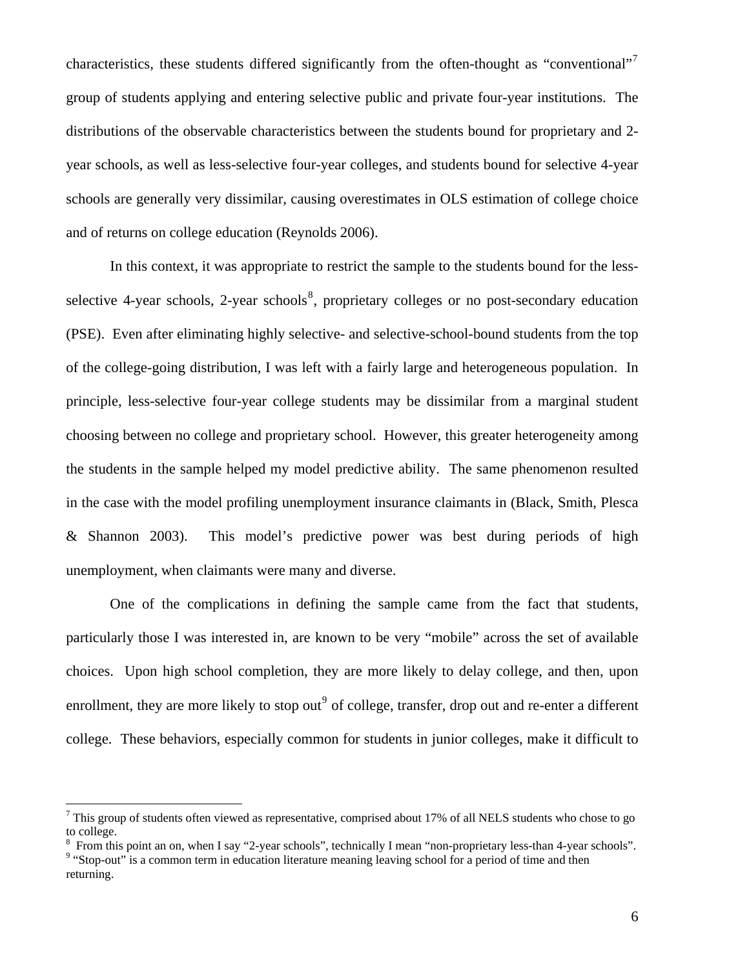<span id="page-5-0"></span>characteristics, these students differed significantly from the often-thought as "conventional"<sup>[7](#page-5-0)</sup> group of students applying and entering selective public and private four-year institutions. The distributions of the observable characteristics between the students bound for proprietary and 2 year schools, as well as less-selective four-year colleges, and students bound for selective 4-year schools are generally very dissimilar, causing overestimates in OLS estimation of college choice and of returns on college education (Reynolds 2006).

In this context, it was appropriate to restrict the sample to the students bound for the less-selective 4-year schools, 2-year schools<sup>[8](#page-5-0)</sup>, proprietary colleges or no post-secondary education (PSE). Even after eliminating highly selective- and selective-school-bound students from the top of the college-going distribution, I was left with a fairly large and heterogeneous population. In principle, less-selective four-year college students may be dissimilar from a marginal student choosing between no college and proprietary school. However, this greater heterogeneity among the students in the sample helped my model predictive ability. The same phenomenon resulted in the case with the model profiling unemployment insurance claimants in (Black, Smith, Plesca & Shannon 2003). This model's predictive power was best during periods of high unemployment, when claimants were many and diverse.

One of the complications in defining the sample came from the fact that students, particularly those I was interested in, are known to be very "mobile" across the set of available choices. Upon high school completion, they are more likely to delay college, and then, upon enrollment, they are more likely to stop out<sup>[9](#page-5-0)</sup> of college, transfer, drop out and re-enter a different college. These behaviors, especially common for students in junior colleges, make it difficult to

 $7$  This group of students often viewed as representative, comprised about 17% of all NELS students who chose to go to college.

 $^8$  From this point an on, when I say "2-year schools", technically I mean "non-proprietary less-than 4-year schools".<br><sup>9</sup> "Stop out" is a common term in education literature meaning leaving school for a period of time a <sup>9</sup> "Stop-out" is a common term in education literature meaning leaving school for a period of time and then returning.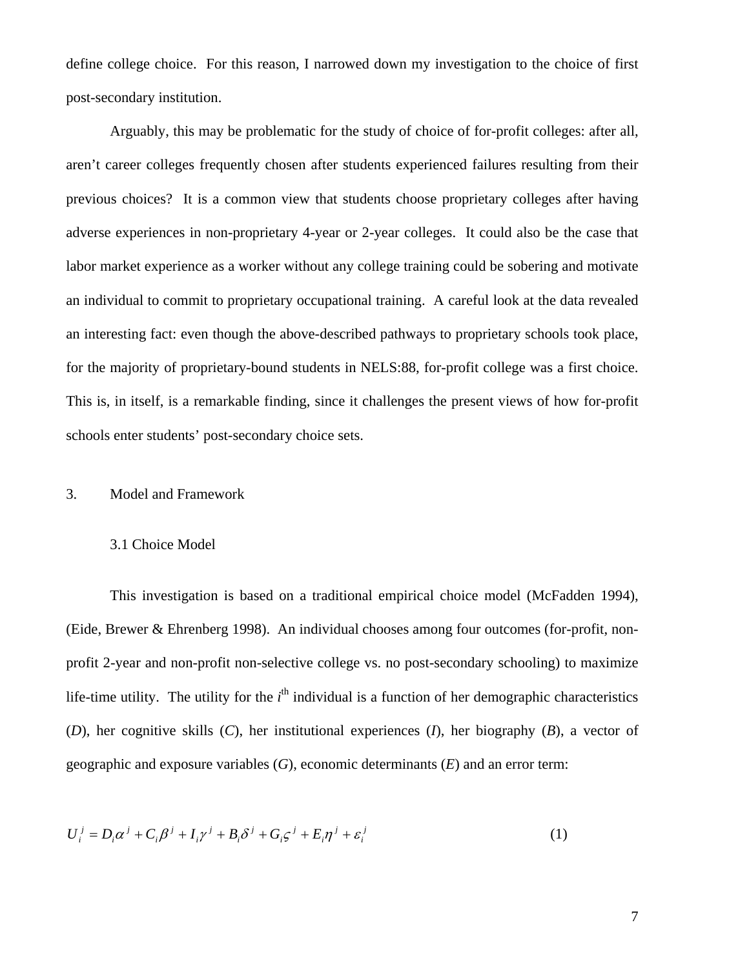define college choice. For this reason, I narrowed down my investigation to the choice of first post-secondary institution.

Arguably, this may be problematic for the study of choice of for-profit colleges: after all, aren't career colleges frequently chosen after students experienced failures resulting from their previous choices? It is a common view that students choose proprietary colleges after having adverse experiences in non-proprietary 4-year or 2-year colleges. It could also be the case that labor market experience as a worker without any college training could be sobering and motivate an individual to commit to proprietary occupational training. A careful look at the data revealed an interesting fact: even though the above-described pathways to proprietary schools took place, for the majority of proprietary-bound students in NELS:88, for-profit college was a first choice. This is, in itself, is a remarkable finding, since it challenges the present views of how for-profit schools enter students' post-secondary choice sets.

### 3. Model and Framework

#### 3.1 Choice Model

 This investigation is based on a traditional empirical choice model (McFadden 1994), (Eide, Brewer & Ehrenberg 1998). An individual chooses among four outcomes (for-profit, nonprofit 2-year and non-profit non-selective college vs. no post-secondary schooling) to maximize life-time utility. The utility for the  $i<sup>th</sup>$  individual is a function of her demographic characteristics (*D*), her cognitive skills (*C*), her institutional experiences (*I*), her biography (*B*), a vector of geographic and exposure variables (*G*), economic determinants (*E*) and an error term:

$$
U_i^j = D_i \alpha^j + C_i \beta^j + I_i \gamma^j + B_i \delta^j + G_i \varsigma^j + E_i \eta^j + \varepsilon_i^j
$$
 (1)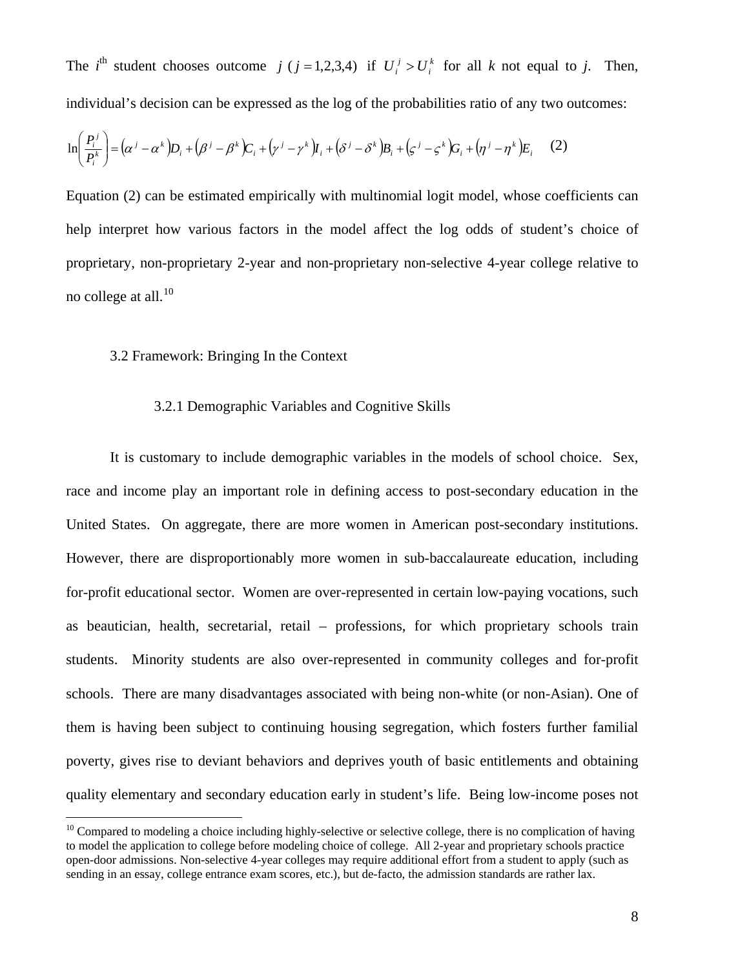<span id="page-7-0"></span>The *i*<sup>th</sup> student chooses outcome *j* (*j* = 1,2,3,4) if  $U_i^j > U_i^k$  for all *k* not equal to *j*. Then, individual's decision can be expressed as the log of the probabilities ratio of any two outcomes: *i*  $U_i^j > U$ 

$$
\ln\left(\frac{P_i^j}{P_i^k}\right) = \left(\alpha^j - \alpha^k\right)D_i + \left(\beta^j - \beta^k\right)C_i + \left(\gamma^j - \gamma^k\right)I_i + \left(\delta^j - \delta^k\right)B_i + \left(\varsigma^j - \varsigma^k\right)G_i + \left(\eta^j - \eta^k\right)E_i \tag{2}
$$

Equation (2) can be estimated empirically with multinomial logit model, whose coefficients can help interpret how various factors in the model affect the log odds of student's choice of proprietary, non-proprietary 2-year and non-proprietary non-selective 4-year college relative to no college at all. $^{10}$  $^{10}$  $^{10}$ 

### 3.2 Framework: Bringing In the Context

 $\overline{a}$ 

# 3.2.1 Demographic Variables and Cognitive Skills

 It is customary to include demographic variables in the models of school choice. Sex, race and income play an important role in defining access to post-secondary education in the United States. On aggregate, there are more women in American post-secondary institutions. However, there are disproportionably more women in sub-baccalaureate education, including for-profit educational sector. Women are over-represented in certain low-paying vocations, such as beautician, health, secretarial, retail – professions, for which proprietary schools train students. Minority students are also over-represented in community colleges and for-profit schools. There are many disadvantages associated with being non-white (or non-Asian). One of them is having been subject to continuing housing segregation, which fosters further familial poverty, gives rise to deviant behaviors and deprives youth of basic entitlements and obtaining quality elementary and secondary education early in student's life. Being low-income poses not

 $10$  Compared to modeling a choice including highly-selective or selective college, there is no complication of having to model the application to college before modeling choice of college. All 2-year and proprietary schools practice open-door admissions. Non-selective 4-year colleges may require additional effort from a student to apply (such as sending in an essay, college entrance exam scores, etc.), but de-facto, the admission standards are rather lax.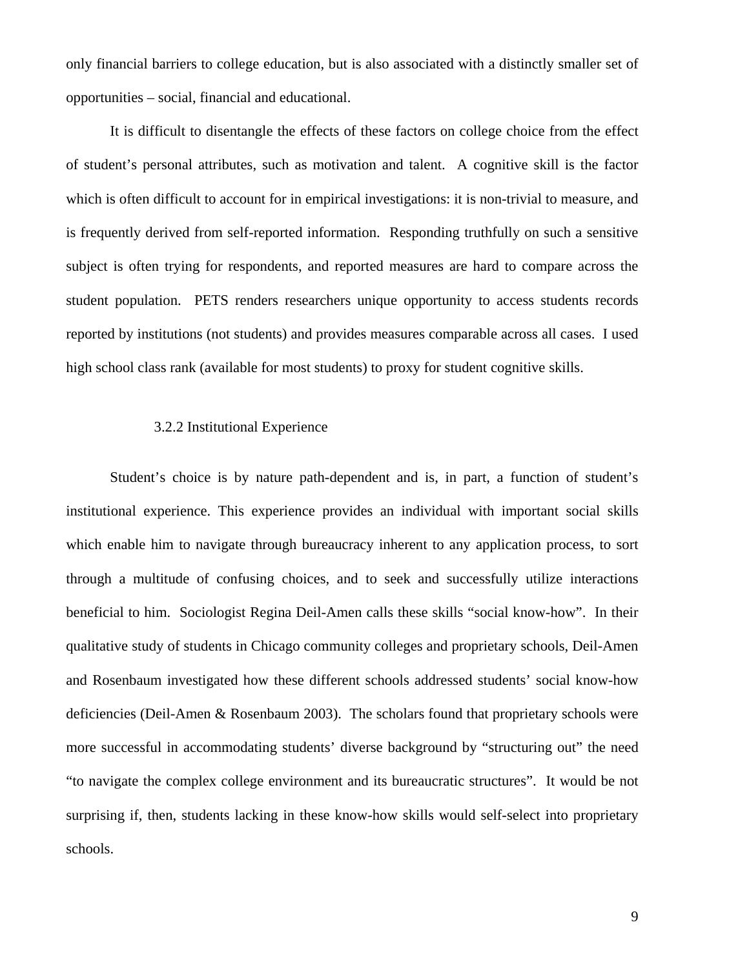only financial barriers to college education, but is also associated with a distinctly smaller set of opportunities – social, financial and educational.

It is difficult to disentangle the effects of these factors on college choice from the effect of student's personal attributes, such as motivation and talent. A cognitive skill is the factor which is often difficult to account for in empirical investigations: it is non-trivial to measure, and is frequently derived from self-reported information. Responding truthfully on such a sensitive subject is often trying for respondents, and reported measures are hard to compare across the student population. PETS renders researchers unique opportunity to access students records reported by institutions (not students) and provides measures comparable across all cases. I used high school class rank (available for most students) to proxy for student cognitive skills.

# 3.2.2 Institutional Experience

 Student's choice is by nature path-dependent and is, in part, a function of student's institutional experience. This experience provides an individual with important social skills which enable him to navigate through bureaucracy inherent to any application process, to sort through a multitude of confusing choices, and to seek and successfully utilize interactions beneficial to him. Sociologist Regina Deil-Amen calls these skills "social know-how". In their qualitative study of students in Chicago community colleges and proprietary schools, Deil-Amen and Rosenbaum investigated how these different schools addressed students' social know-how deficiencies (Deil-Amen & Rosenbaum 2003). The scholars found that proprietary schools were more successful in accommodating students' diverse background by "structuring out" the need "to navigate the complex college environment and its bureaucratic structures". It would be not surprising if, then, students lacking in these know-how skills would self-select into proprietary schools.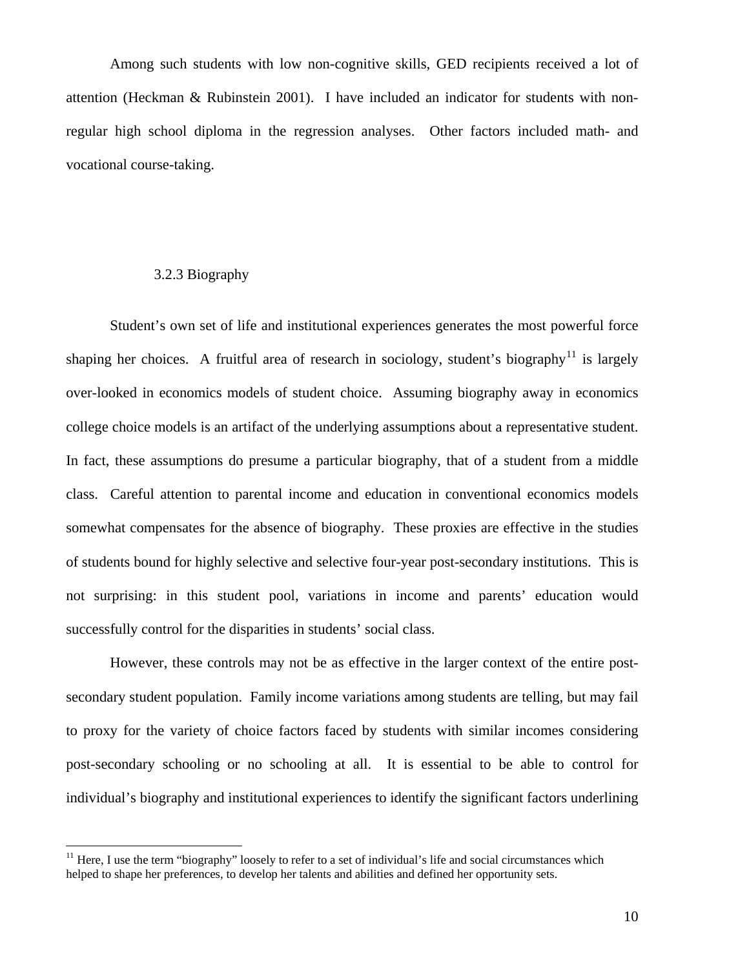<span id="page-9-0"></span> Among such students with low non-cognitive skills, GED recipients received a lot of attention (Heckman & Rubinstein 2001). I have included an indicator for students with nonregular high school diploma in the regression analyses. Other factors included math- and vocational course-taking.

# 3.2.3 Biography

 $\overline{a}$ 

 Student's own set of life and institutional experiences generates the most powerful force shaping her choices. A fruitful area of research in sociology, student's biography<sup>[11](#page-9-0)</sup> is largely over-looked in economics models of student choice. Assuming biography away in economics college choice models is an artifact of the underlying assumptions about a representative student. In fact, these assumptions do presume a particular biography, that of a student from a middle class. Careful attention to parental income and education in conventional economics models somewhat compensates for the absence of biography. These proxies are effective in the studies of students bound for highly selective and selective four-year post-secondary institutions. This is not surprising: in this student pool, variations in income and parents' education would successfully control for the disparities in students' social class.

 However, these controls may not be as effective in the larger context of the entire postsecondary student population. Family income variations among students are telling, but may fail to proxy for the variety of choice factors faced by students with similar incomes considering post-secondary schooling or no schooling at all. It is essential to be able to control for individual's biography and institutional experiences to identify the significant factors underlining

 $11$  Here, I use the term "biography" loosely to refer to a set of individual's life and social circumstances which helped to shape her preferences, to develop her talents and abilities and defined her opportunity sets.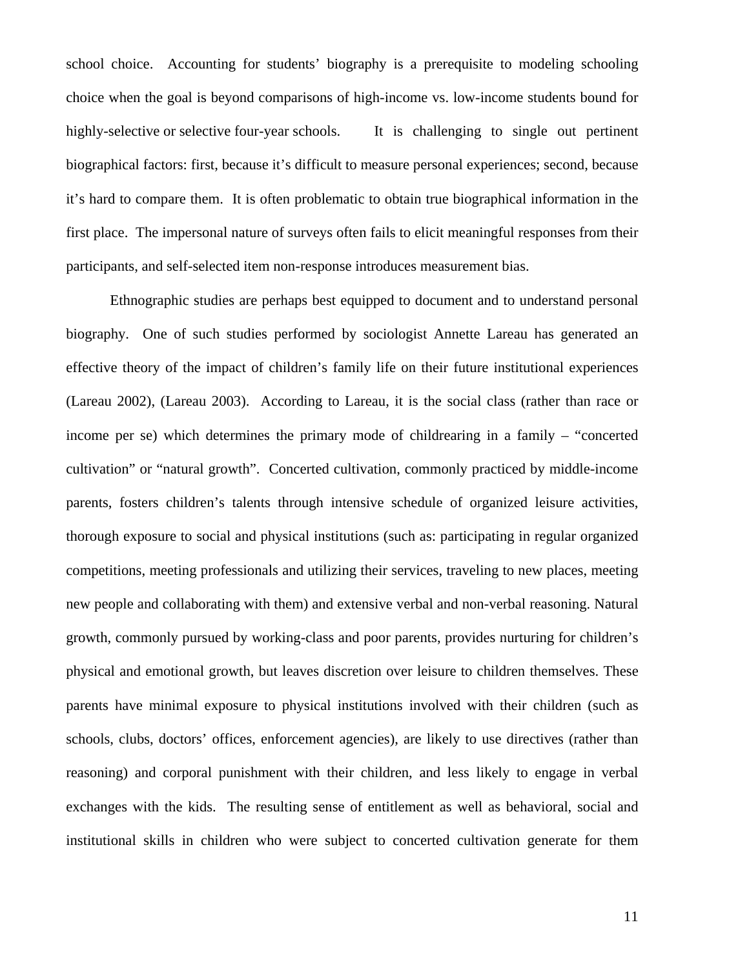school choice. Accounting for students' biography is a prerequisite to modeling schooling choice when the goal is beyond comparisons of high-income vs. low-income students bound for highly-selective or selective four-year schools. It is challenging to single out pertinent biographical factors: first, because it's difficult to measure personal experiences; second, because it's hard to compare them. It is often problematic to obtain true biographical information in the first place. The impersonal nature of surveys often fails to elicit meaningful responses from their participants, and self-selected item non-response introduces measurement bias.

 Ethnographic studies are perhaps best equipped to document and to understand personal biography. One of such studies performed by sociologist Annette Lareau has generated an effective theory of the impact of children's family life on their future institutional experiences (Lareau 2002), (Lareau 2003). According to Lareau, it is the social class (rather than race or income per se) which determines the primary mode of childrearing in a family – "concerted cultivation" or "natural growth". Concerted cultivation, commonly practiced by middle-income parents, fosters children's talents through intensive schedule of organized leisure activities, thorough exposure to social and physical institutions (such as: participating in regular organized competitions, meeting professionals and utilizing their services, traveling to new places, meeting new people and collaborating with them) and extensive verbal and non-verbal reasoning. Natural growth, commonly pursued by working-class and poor parents, provides nurturing for children's physical and emotional growth, but leaves discretion over leisure to children themselves. These parents have minimal exposure to physical institutions involved with their children (such as schools, clubs, doctors' offices, enforcement agencies), are likely to use directives (rather than reasoning) and corporal punishment with their children, and less likely to engage in verbal exchanges with the kids. The resulting sense of entitlement as well as behavioral, social and institutional skills in children who were subject to concerted cultivation generate for them

11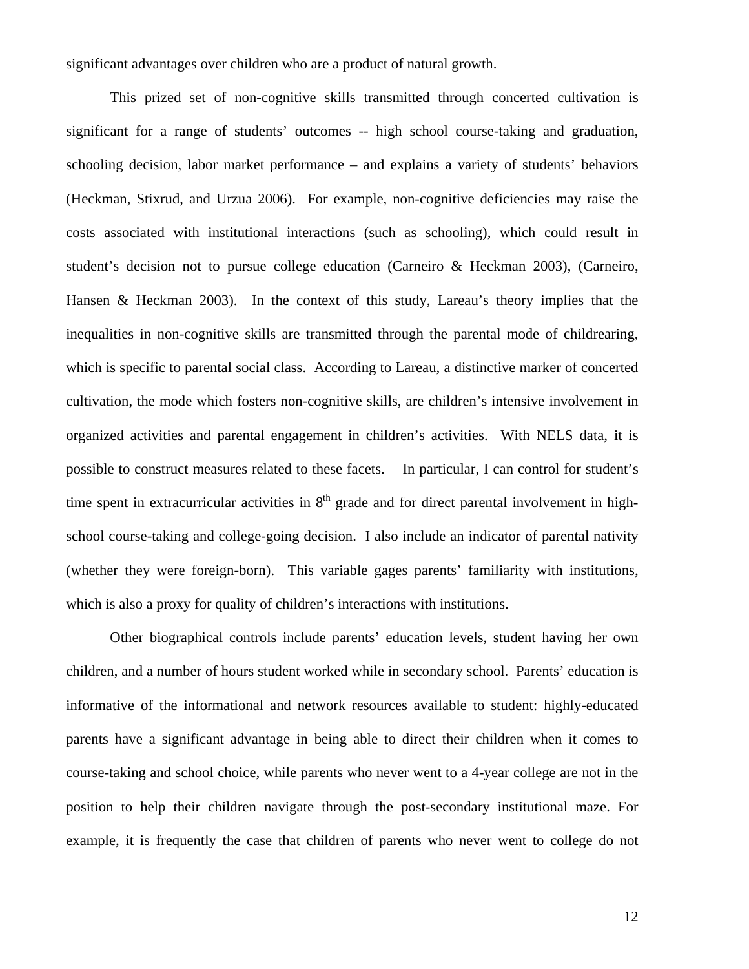significant advantages over children who are a product of natural growth.

 This prized set of non-cognitive skills transmitted through concerted cultivation is significant for a range of students' outcomes -- high school course-taking and graduation, schooling decision, labor market performance – and explains a variety of students' behaviors (Heckman, Stixrud, and Urzua 2006). For example, non-cognitive deficiencies may raise the costs associated with institutional interactions (such as schooling), which could result in student's decision not to pursue college education (Carneiro & Heckman 2003), (Carneiro, Hansen & Heckman 2003). In the context of this study, Lareau's theory implies that the inequalities in non-cognitive skills are transmitted through the parental mode of childrearing, which is specific to parental social class. According to Lareau, a distinctive marker of concerted cultivation, the mode which fosters non-cognitive skills, are children's intensive involvement in organized activities and parental engagement in children's activities. With NELS data, it is possible to construct measures related to these facets. In particular, I can control for student's time spent in extracurricular activities in  $8<sup>th</sup>$  grade and for direct parental involvement in highschool course-taking and college-going decision. I also include an indicator of parental nativity (whether they were foreign-born). This variable gages parents' familiarity with institutions, which is also a proxy for quality of children's interactions with institutions.

Other biographical controls include parents' education levels, student having her own children, and a number of hours student worked while in secondary school. Parents' education is informative of the informational and network resources available to student: highly-educated parents have a significant advantage in being able to direct their children when it comes to course-taking and school choice, while parents who never went to a 4-year college are not in the position to help their children navigate through the post-secondary institutional maze. For example, it is frequently the case that children of parents who never went to college do not

12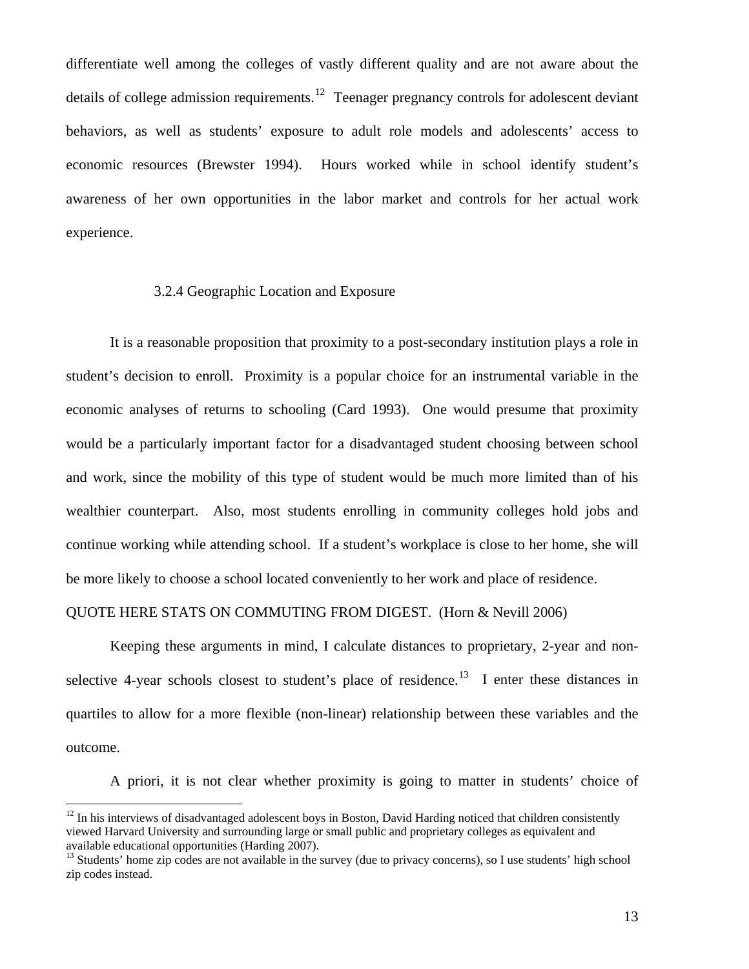<span id="page-12-0"></span>differentiate well among the colleges of vastly different quality and are not aware about the details of college admission requirements.<sup>[12](#page-12-0)</sup> Teenager pregnancy controls for adolescent deviant behaviors, as well as students' exposure to adult role models and adolescents' access to economic resources (Brewster 1994). Hours worked while in school identify student's awareness of her own opportunities in the labor market and controls for her actual work experience.

### 3.2.4 Geographic Location and Exposure

It is a reasonable proposition that proximity to a post-secondary institution plays a role in student's decision to enroll. Proximity is a popular choice for an instrumental variable in the economic analyses of returns to schooling (Card 1993). One would presume that proximity would be a particularly important factor for a disadvantaged student choosing between school and work, since the mobility of this type of student would be much more limited than of his wealthier counterpart. Also, most students enrolling in community colleges hold jobs and continue working while attending school. If a student's workplace is close to her home, she will be more likely to choose a school located conveniently to her work and place of residence.

# QUOTE HERE STATS ON COMMUTING FROM DIGEST. (Horn & Nevill 2006)

Keeping these arguments in mind, I calculate distances to proprietary, 2-year and non-selective 4-year schools closest to student's place of residence.<sup>[13](#page-12-0)</sup> I enter these distances in quartiles to allow for a more flexible (non-linear) relationship between these variables and the outcome.

A priori, it is not clear whether proximity is going to matter in students' choice of

 $12$  In his interviews of disadvantaged adolescent boys in Boston, David Harding noticed that children consistently viewed Harvard University and surrounding large or small public and proprietary colleges as equivalent and available educational opportunities (Harding 2007).

<sup>&</sup>lt;sup>13</sup> Students' home zip codes are not available in the survey (due to privacy concerns), so I use students' high school zip codes instead.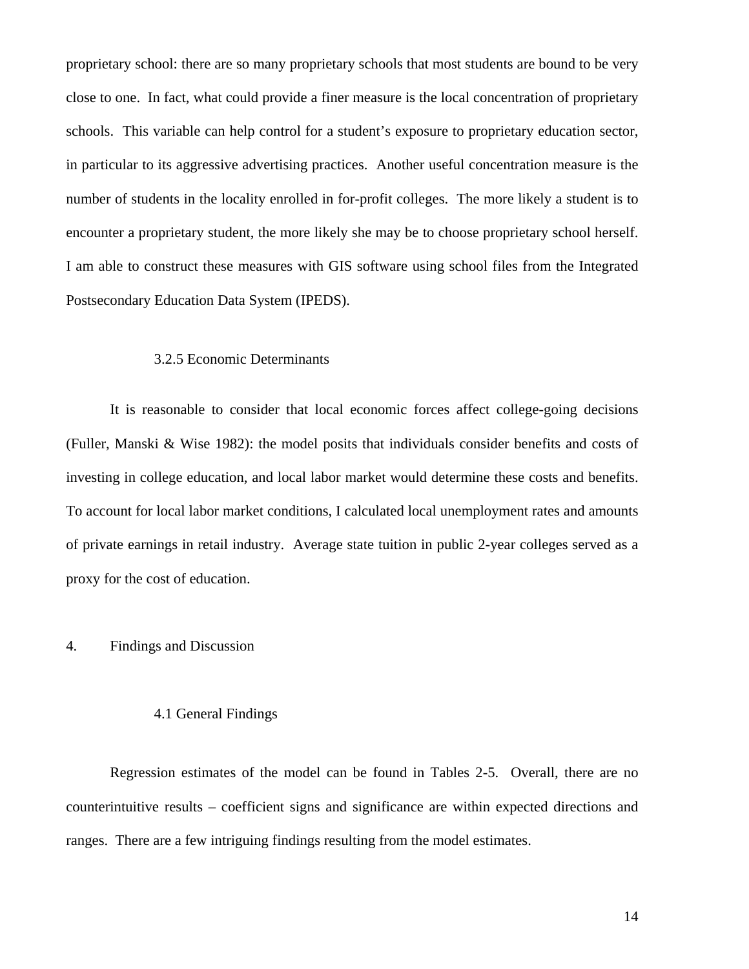proprietary school: there are so many proprietary schools that most students are bound to be very close to one. In fact, what could provide a finer measure is the local concentration of proprietary schools. This variable can help control for a student's exposure to proprietary education sector, in particular to its aggressive advertising practices. Another useful concentration measure is the number of students in the locality enrolled in for-profit colleges. The more likely a student is to encounter a proprietary student, the more likely she may be to choose proprietary school herself. I am able to construct these measures with GIS software using school files from the Integrated Postsecondary Education Data System (IPEDS).

#### 3.2.5 Economic Determinants

 It is reasonable to consider that local economic forces affect college-going decisions (Fuller, Manski & Wise 1982): the model posits that individuals consider benefits and costs of investing in college education, and local labor market would determine these costs and benefits. To account for local labor market conditions, I calculated local unemployment rates and amounts of private earnings in retail industry. Average state tuition in public 2-year colleges served as a proxy for the cost of education.

### 4. Findings and Discussion

#### 4.1 General Findings

Regression estimates of the model can be found in Tables 2-5. Overall, there are no counterintuitive results – coefficient signs and significance are within expected directions and ranges. There are a few intriguing findings resulting from the model estimates.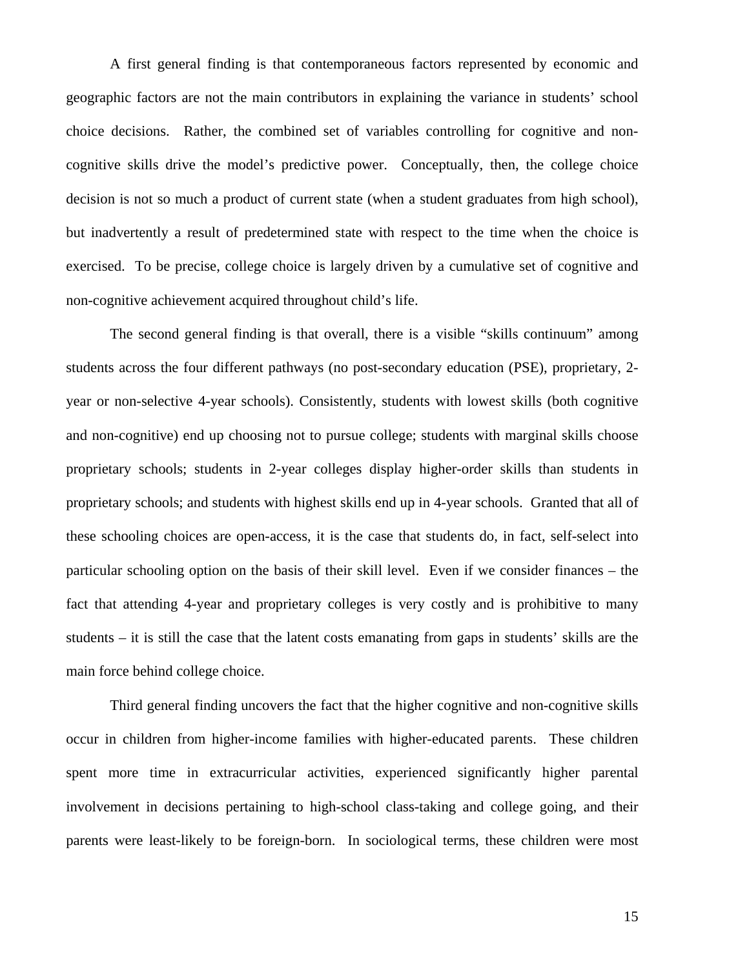A first general finding is that contemporaneous factors represented by economic and geographic factors are not the main contributors in explaining the variance in students' school choice decisions. Rather, the combined set of variables controlling for cognitive and noncognitive skills drive the model's predictive power. Conceptually, then, the college choice decision is not so much a product of current state (when a student graduates from high school), but inadvertently a result of predetermined state with respect to the time when the choice is exercised. To be precise, college choice is largely driven by a cumulative set of cognitive and non-cognitive achievement acquired throughout child's life.

The second general finding is that overall, there is a visible "skills continuum" among students across the four different pathways (no post-secondary education (PSE), proprietary, 2 year or non-selective 4-year schools). Consistently, students with lowest skills (both cognitive and non-cognitive) end up choosing not to pursue college; students with marginal skills choose proprietary schools; students in 2-year colleges display higher-order skills than students in proprietary schools; and students with highest skills end up in 4-year schools. Granted that all of these schooling choices are open-access, it is the case that students do, in fact, self-select into particular schooling option on the basis of their skill level. Even if we consider finances – the fact that attending 4-year and proprietary colleges is very costly and is prohibitive to many students – it is still the case that the latent costs emanating from gaps in students' skills are the main force behind college choice.

 Third general finding uncovers the fact that the higher cognitive and non-cognitive skills occur in children from higher-income families with higher-educated parents. These children spent more time in extracurricular activities, experienced significantly higher parental involvement in decisions pertaining to high-school class-taking and college going, and their parents were least-likely to be foreign-born. In sociological terms, these children were most

15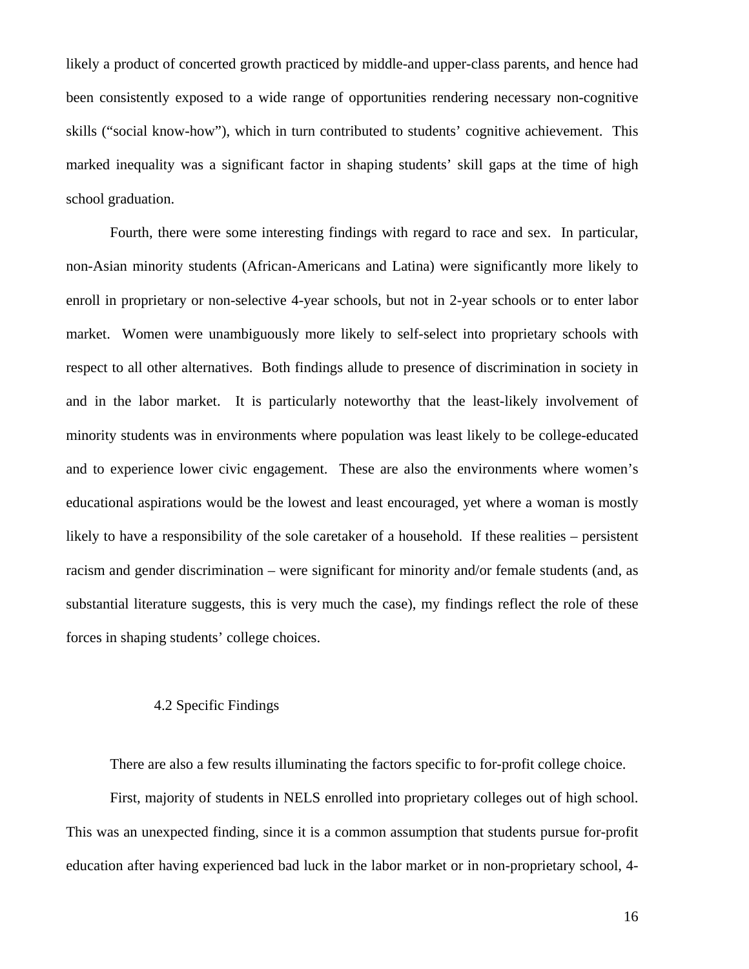likely a product of concerted growth practiced by middle-and upper-class parents, and hence had been consistently exposed to a wide range of opportunities rendering necessary non-cognitive skills ("social know-how"), which in turn contributed to students' cognitive achievement. This marked inequality was a significant factor in shaping students' skill gaps at the time of high school graduation.

 Fourth, there were some interesting findings with regard to race and sex. In particular, non-Asian minority students (African-Americans and Latina) were significantly more likely to enroll in proprietary or non-selective 4-year schools, but not in 2-year schools or to enter labor market. Women were unambiguously more likely to self-select into proprietary schools with respect to all other alternatives. Both findings allude to presence of discrimination in society in and in the labor market. It is particularly noteworthy that the least-likely involvement of minority students was in environments where population was least likely to be college-educated and to experience lower civic engagement. These are also the environments where women's educational aspirations would be the lowest and least encouraged, yet where a woman is mostly likely to have a responsibility of the sole caretaker of a household. If these realities – persistent racism and gender discrimination – were significant for minority and/or female students (and, as substantial literature suggests, this is very much the case), my findings reflect the role of these forces in shaping students' college choices.

# 4.2 Specific Findings

There are also a few results illuminating the factors specific to for-profit college choice.

 First, majority of students in NELS enrolled into proprietary colleges out of high school. This was an unexpected finding, since it is a common assumption that students pursue for-profit education after having experienced bad luck in the labor market or in non-proprietary school, 4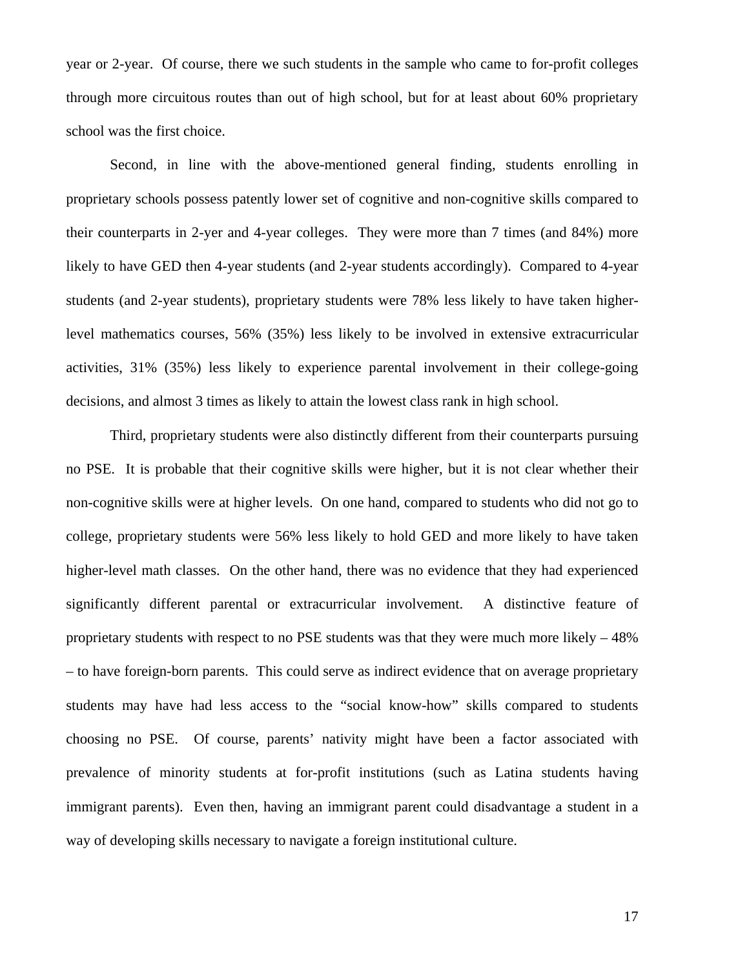year or 2-year. Of course, there we such students in the sample who came to for-profit colleges through more circuitous routes than out of high school, but for at least about 60% proprietary school was the first choice.

Second, in line with the above-mentioned general finding, students enrolling in proprietary schools possess patently lower set of cognitive and non-cognitive skills compared to their counterparts in 2-yer and 4-year colleges. They were more than 7 times (and 84%) more likely to have GED then 4-year students (and 2-year students accordingly). Compared to 4-year students (and 2-year students), proprietary students were 78% less likely to have taken higherlevel mathematics courses, 56% (35%) less likely to be involved in extensive extracurricular activities, 31% (35%) less likely to experience parental involvement in their college-going decisions, and almost 3 times as likely to attain the lowest class rank in high school.

 Third, proprietary students were also distinctly different from their counterparts pursuing no PSE. It is probable that their cognitive skills were higher, but it is not clear whether their non-cognitive skills were at higher levels. On one hand, compared to students who did not go to college, proprietary students were 56% less likely to hold GED and more likely to have taken higher-level math classes. On the other hand, there was no evidence that they had experienced significantly different parental or extracurricular involvement. A distinctive feature of proprietary students with respect to no PSE students was that they were much more likely – 48% – to have foreign-born parents. This could serve as indirect evidence that on average proprietary students may have had less access to the "social know-how" skills compared to students choosing no PSE. Of course, parents' nativity might have been a factor associated with prevalence of minority students at for-profit institutions (such as Latina students having immigrant parents). Even then, having an immigrant parent could disadvantage a student in a way of developing skills necessary to navigate a foreign institutional culture.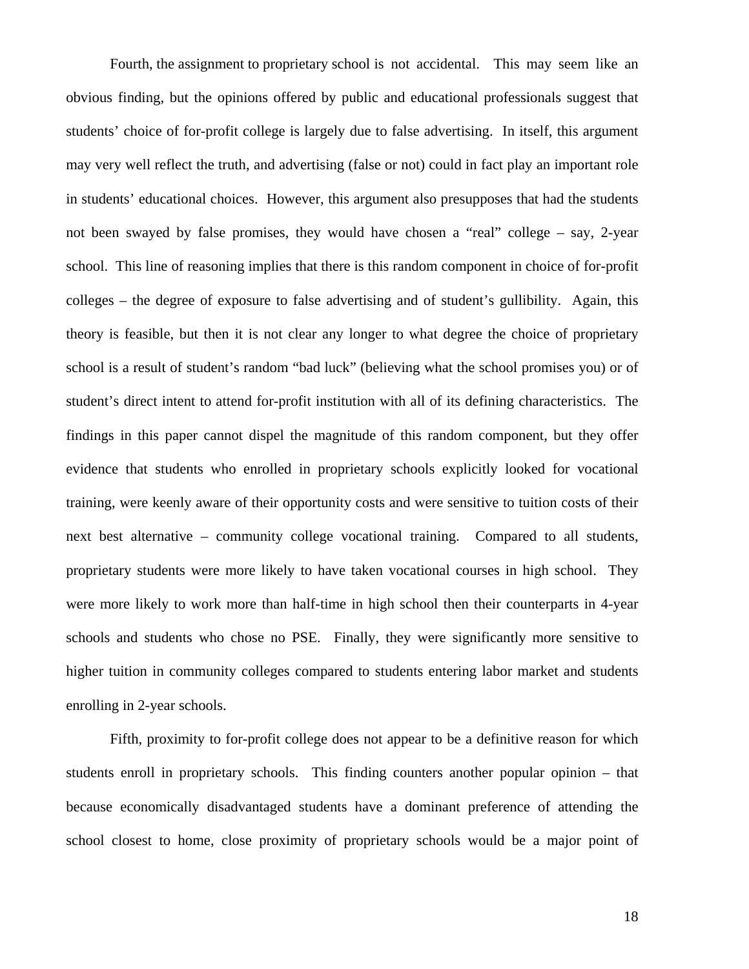Fourth, the assignment to proprietary school is not accidental. This may seem like an obvious finding, but the opinions offered by public and educational professionals suggest that students' choice of for-profit college is largely due to false advertising. In itself, this argument may very well reflect the truth, and advertising (false or not) could in fact play an important role in students' educational choices. However, this argument also presupposes that had the students not been swayed by false promises, they would have chosen a "real" college – say, 2-year school. This line of reasoning implies that there is this random component in choice of for-profit colleges – the degree of exposure to false advertising and of student's gullibility. Again, this theory is feasible, but then it is not clear any longer to what degree the choice of proprietary school is a result of student's random "bad luck" (believing what the school promises you) or of student's direct intent to attend for-profit institution with all of its defining characteristics. The findings in this paper cannot dispel the magnitude of this random component, but they offer evidence that students who enrolled in proprietary schools explicitly looked for vocational training, were keenly aware of their opportunity costs and were sensitive to tuition costs of their next best alternative – community college vocational training. Compared to all students, proprietary students were more likely to have taken vocational courses in high school. They were more likely to work more than half-time in high school then their counterparts in 4-year schools and students who chose no PSE. Finally, they were significantly more sensitive to higher tuition in community colleges compared to students entering labor market and students enrolling in 2-year schools.

 Fifth, proximity to for-profit college does not appear to be a definitive reason for which students enroll in proprietary schools. This finding counters another popular opinion – that because economically disadvantaged students have a dominant preference of attending the school closest to home, close proximity of proprietary schools would be a major point of

18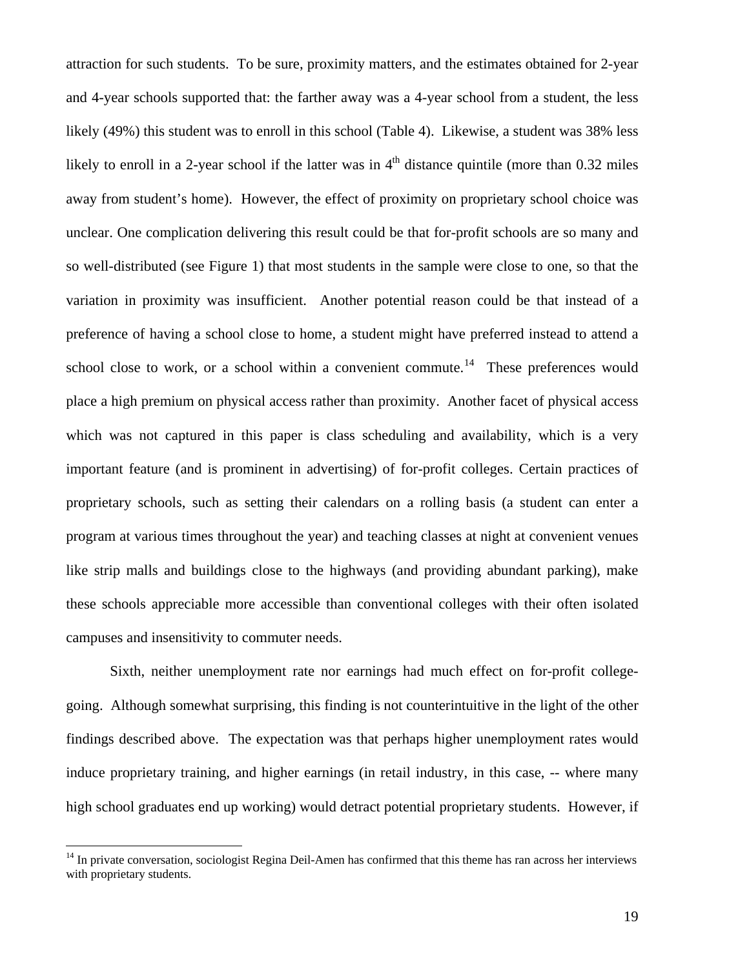<span id="page-18-0"></span>attraction for such students. To be sure, proximity matters, and the estimates obtained for 2-year and 4-year schools supported that: the farther away was a 4-year school from a student, the less likely (49%) this student was to enroll in this school (Table 4). Likewise, a student was 38% less likely to enroll in a 2-year school if the latter was in  $4<sup>th</sup>$  distance quintile (more than 0.32 miles away from student's home). However, the effect of proximity on proprietary school choice was unclear. One complication delivering this result could be that for-profit schools are so many and so well-distributed (see Figure 1) that most students in the sample were close to one, so that the variation in proximity was insufficient. Another potential reason could be that instead of a preference of having a school close to home, a student might have preferred instead to attend a school close to work, or a school within a convenient commute.<sup>[14](#page-18-0)</sup> These preferences would place a high premium on physical access rather than proximity. Another facet of physical access which was not captured in this paper is class scheduling and availability, which is a very important feature (and is prominent in advertising) of for-profit colleges. Certain practices of proprietary schools, such as setting their calendars on a rolling basis (a student can enter a program at various times throughout the year) and teaching classes at night at convenient venues like strip malls and buildings close to the highways (and providing abundant parking), make these schools appreciable more accessible than conventional colleges with their often isolated campuses and insensitivity to commuter needs.

 Sixth, neither unemployment rate nor earnings had much effect on for-profit collegegoing. Although somewhat surprising, this finding is not counterintuitive in the light of the other findings described above. The expectation was that perhaps higher unemployment rates would induce proprietary training, and higher earnings (in retail industry, in this case, -- where many high school graduates end up working) would detract potential proprietary students. However, if

<sup>&</sup>lt;sup>14</sup> In private conversation, sociologist Regina Deil-Amen has confirmed that this theme has ran across her interviews with proprietary students.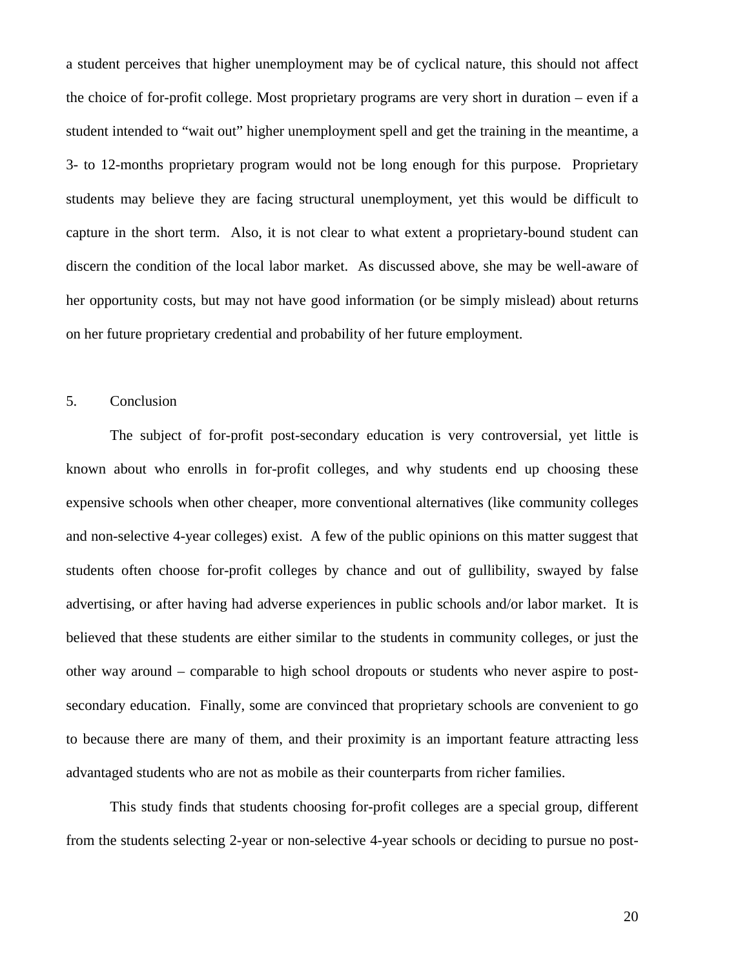a student perceives that higher unemployment may be of cyclical nature, this should not affect the choice of for-profit college. Most proprietary programs are very short in duration – even if a student intended to "wait out" higher unemployment spell and get the training in the meantime, a 3- to 12-months proprietary program would not be long enough for this purpose. Proprietary students may believe they are facing structural unemployment, yet this would be difficult to capture in the short term. Also, it is not clear to what extent a proprietary-bound student can discern the condition of the local labor market. As discussed above, she may be well-aware of her opportunity costs, but may not have good information (or be simply mislead) about returns on her future proprietary credential and probability of her future employment.

### 5. Conclusion

 The subject of for-profit post-secondary education is very controversial, yet little is known about who enrolls in for-profit colleges, and why students end up choosing these expensive schools when other cheaper, more conventional alternatives (like community colleges and non-selective 4-year colleges) exist. A few of the public opinions on this matter suggest that students often choose for-profit colleges by chance and out of gullibility, swayed by false advertising, or after having had adverse experiences in public schools and/or labor market. It is believed that these students are either similar to the students in community colleges, or just the other way around – comparable to high school dropouts or students who never aspire to postsecondary education. Finally, some are convinced that proprietary schools are convenient to go to because there are many of them, and their proximity is an important feature attracting less advantaged students who are not as mobile as their counterparts from richer families.

 This study finds that students choosing for-profit colleges are a special group, different from the students selecting 2-year or non-selective 4-year schools or deciding to pursue no post-

20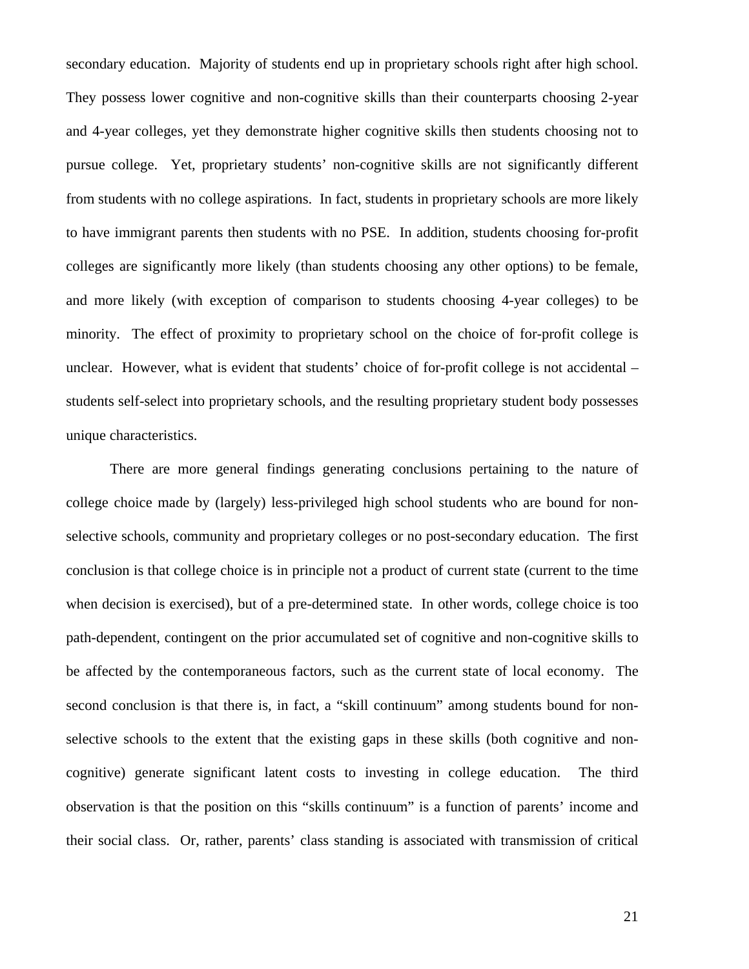secondary education. Majority of students end up in proprietary schools right after high school. They possess lower cognitive and non-cognitive skills than their counterparts choosing 2-year and 4-year colleges, yet they demonstrate higher cognitive skills then students choosing not to pursue college. Yet, proprietary students' non-cognitive skills are not significantly different from students with no college aspirations. In fact, students in proprietary schools are more likely to have immigrant parents then students with no PSE. In addition, students choosing for-profit colleges are significantly more likely (than students choosing any other options) to be female, and more likely (with exception of comparison to students choosing 4-year colleges) to be minority. The effect of proximity to proprietary school on the choice of for-profit college is unclear. However, what is evident that students' choice of for-profit college is not accidental – students self-select into proprietary schools, and the resulting proprietary student body possesses unique characteristics.

 There are more general findings generating conclusions pertaining to the nature of college choice made by (largely) less-privileged high school students who are bound for nonselective schools, community and proprietary colleges or no post-secondary education. The first conclusion is that college choice is in principle not a product of current state (current to the time when decision is exercised), but of a pre-determined state. In other words, college choice is too path-dependent, contingent on the prior accumulated set of cognitive and non-cognitive skills to be affected by the contemporaneous factors, such as the current state of local economy. The second conclusion is that there is, in fact, a "skill continuum" among students bound for nonselective schools to the extent that the existing gaps in these skills (both cognitive and noncognitive) generate significant latent costs to investing in college education. The third observation is that the position on this "skills continuum" is a function of parents' income and their social class. Or, rather, parents' class standing is associated with transmission of critical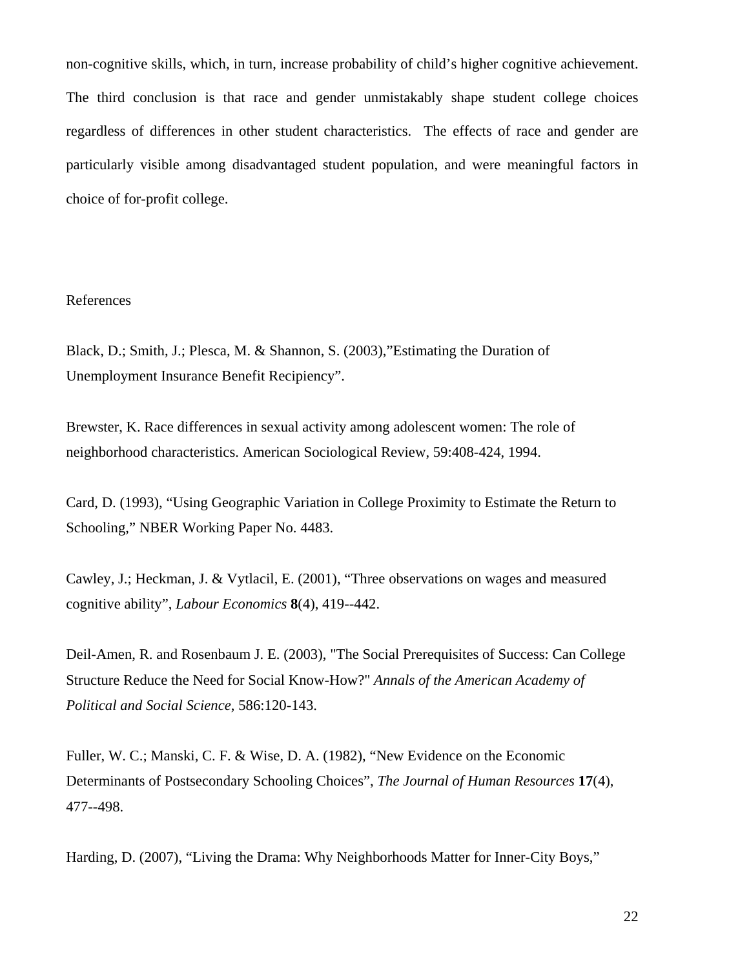non-cognitive skills, which, in turn, increase probability of child's higher cognitive achievement. The third conclusion is that race and gender unmistakably shape student college choices regardless of differences in other student characteristics. The effects of race and gender are particularly visible among disadvantaged student population, and were meaningful factors in choice of for-profit college.

# References

Black, D.; Smith, J.; Plesca, M. & Shannon, S. (2003),"Estimating the Duration of Unemployment Insurance Benefit Recipiency".

Brewster, K. Race differences in sexual activity among adolescent women: The role of neighborhood characteristics. American Sociological Review, 59:408-424, 1994.

Card, D. (1993), "Using Geographic Variation in College Proximity to Estimate the Return to Schooling," NBER Working Paper No. 4483.

Cawley, J.; Heckman, J. & Vytlacil, E. (2001), "Three observations on wages and measured cognitive ability", *Labour Economics* **8**(4), 419--442.

Deil-Amen, R. and Rosenbaum J. E. (2003), "The Social Prerequisites of Success: Can College Structure Reduce the Need for Social Know-How?" *Annals of the American Academy of Political and Social Science*, 586:120-143.

Fuller, W. C.; Manski, C. F. & Wise, D. A. (1982), "New Evidence on the Economic Determinants of Postsecondary Schooling Choices", *The Journal of Human Resources* **17**(4), 477--498.

Harding, D. (2007), "Living the Drama: Why Neighborhoods Matter for Inner-City Boys,"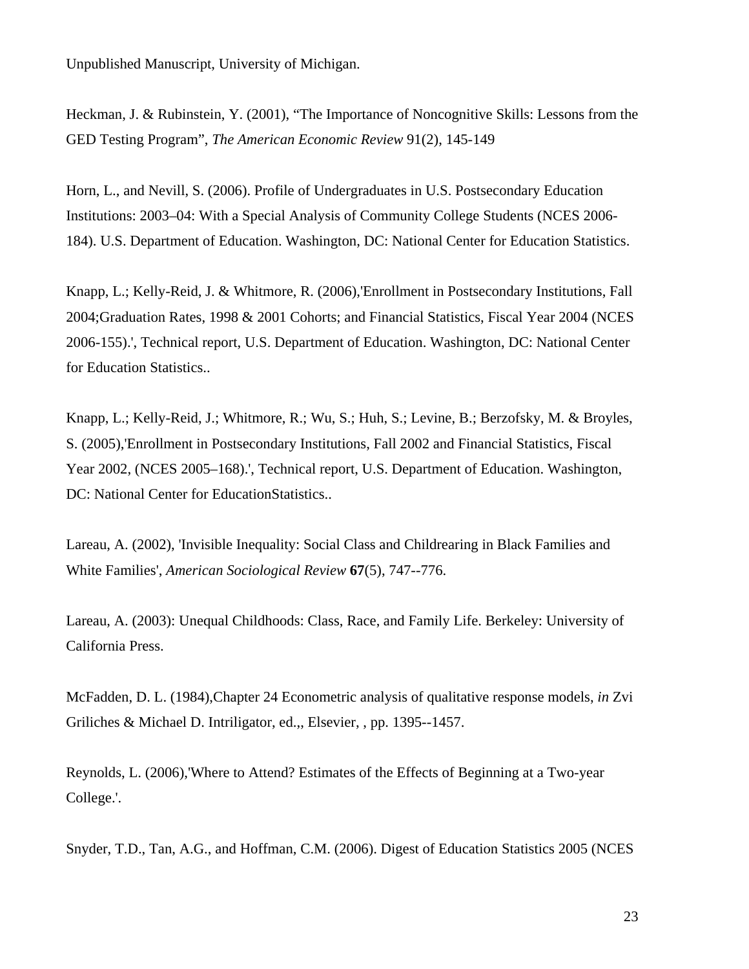Unpublished Manuscript, University of Michigan.

Heckman, J. & Rubinstein, Y. (2001), "The Importance of Noncognitive Skills: Lessons from the GED Testing Program", *The American Economic Review* 91(2), 145-149

Horn, L., and Nevill, S. (2006). Profile of Undergraduates in U.S. Postsecondary Education Institutions: 2003–04: With a Special Analysis of Community College Students (NCES 2006- 184). U.S. Department of Education. Washington, DC: National Center for Education Statistics.

Knapp, L.; Kelly-Reid, J. & Whitmore, R. (2006),'Enrollment in Postsecondary Institutions, Fall 2004;Graduation Rates, 1998 & 2001 Cohorts; and Financial Statistics, Fiscal Year 2004 (NCES 2006-155).', Technical report, U.S. Department of Education. Washington, DC: National Center for Education Statistics..

Knapp, L.; Kelly-Reid, J.; Whitmore, R.; Wu, S.; Huh, S.; Levine, B.; Berzofsky, M. & Broyles, S. (2005),'Enrollment in Postsecondary Institutions, Fall 2002 and Financial Statistics, Fiscal Year 2002, (NCES 2005–168).', Technical report, U.S. Department of Education. Washington, DC: National Center for EducationStatistics..

Lareau, A. (2002), 'Invisible Inequality: Social Class and Childrearing in Black Families and White Families', *American Sociological Review* **67**(5), 747--776.

Lareau, A. (2003): Unequal Childhoods: Class, Race, and Family Life. Berkeley: University of California Press.

McFadden, D. L. (1984),Chapter 24 Econometric analysis of qualitative response models, *in* Zvi Griliches & Michael D. Intriligator, ed.,, Elsevier, , pp. 1395--1457.

Reynolds, L. (2006),'Where to Attend? Estimates of the Effects of Beginning at a Two-year College.'.

Snyder, T.D., Tan, A.G., and Hoffman, C.M. (2006). Digest of Education Statistics 2005 (NCES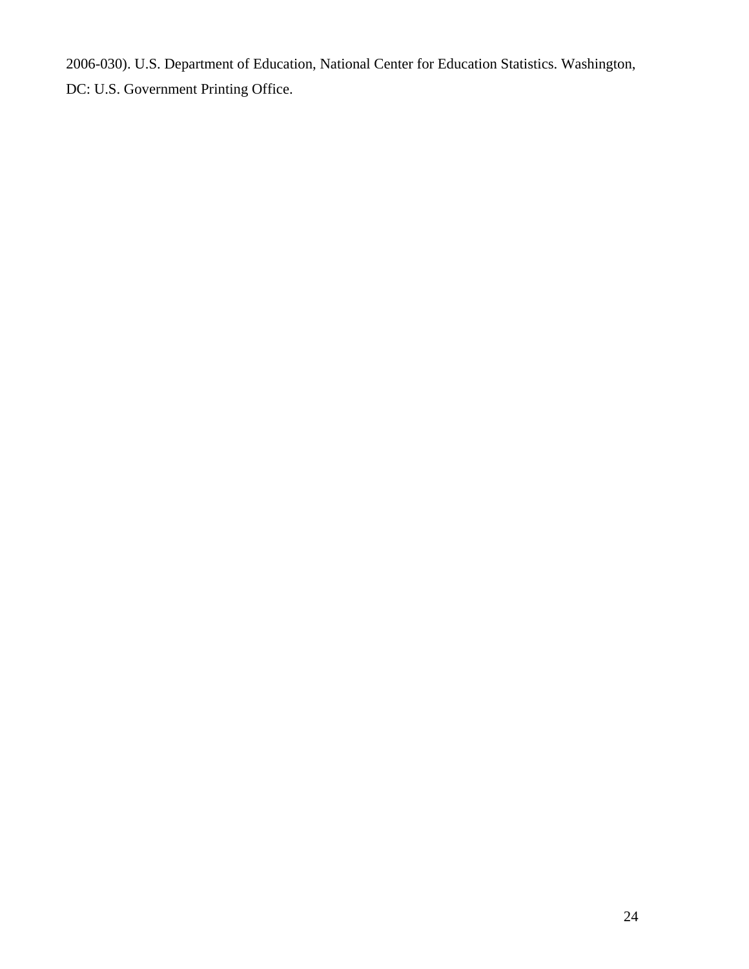2006-030). U.S. Department of Education, National Center for Education Statistics. Washington, DC: U.S. Government Printing Office.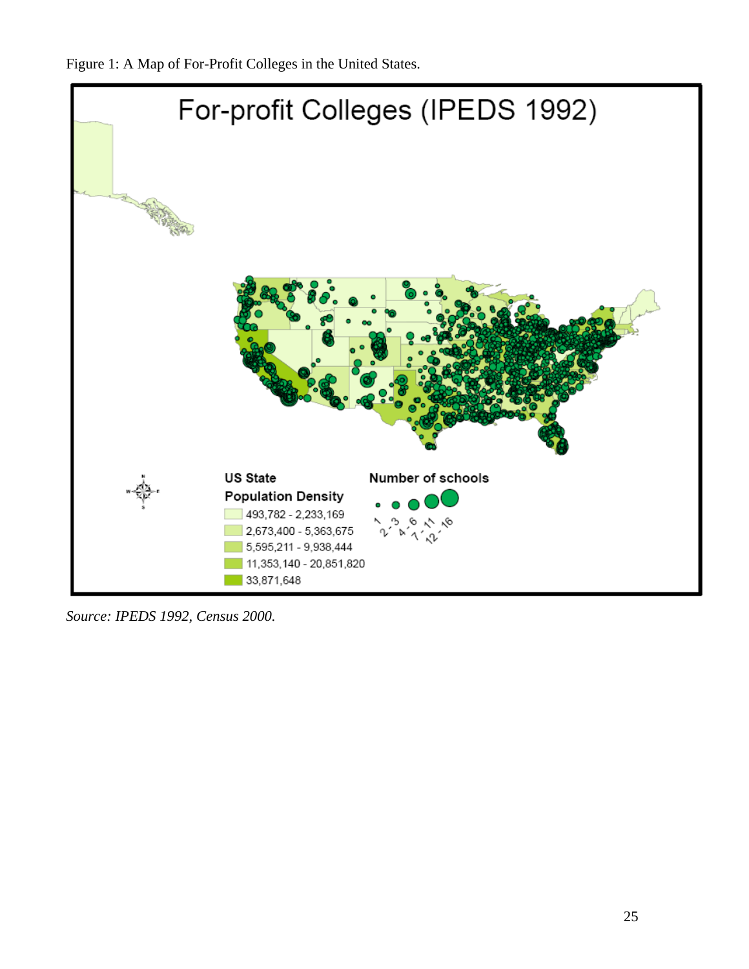Figure 1: A Map of For-Profit Colleges in the United States.



*Source: IPEDS 1992, Census 2000.*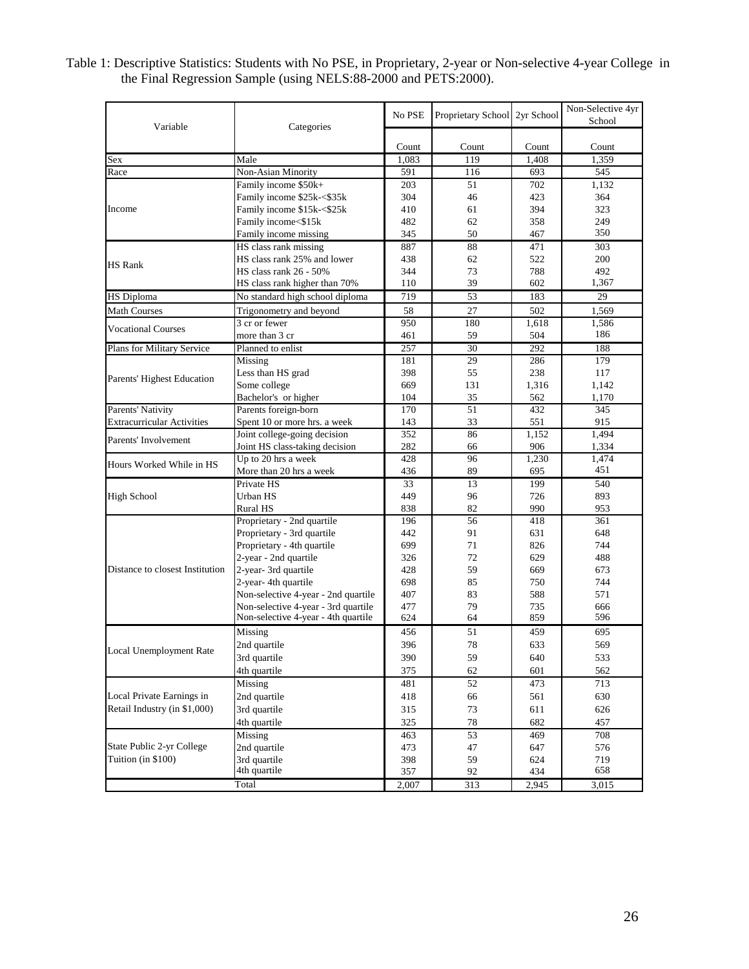| Table 1: Descriptive Statistics: Students with No PSE, in Proprietary, 2-year or Non-selective 4-year College in |  |
|------------------------------------------------------------------------------------------------------------------|--|
| the Final Regression Sample (using NELS:88-2000 and PETS:2000).                                                  |  |

| Variable                                                  | Categories                          | No PSE | Proprietary School 2yr School |       | Non-Selective 4yr<br>School |
|-----------------------------------------------------------|-------------------------------------|--------|-------------------------------|-------|-----------------------------|
|                                                           |                                     |        |                               |       |                             |
|                                                           |                                     | Count  | Count                         | Count | Count                       |
| Sex                                                       | Male                                | 1,083  | 119                           | 1,408 | 1,359                       |
| Race                                                      | Non-Asian Minority                  | 591    | 116                           | 693   | 545                         |
|                                                           | Family income \$50k+                | 203    | 51                            | 702   | 1.132                       |
|                                                           | Family income \$25k-<\$35k          | 304    | 46                            | 423   | 364                         |
| Income                                                    | Family income \$15k-<\$25k          | 410    | 61                            | 394   | 323                         |
|                                                           | Family income<\$15k                 | 482    | 62                            | 358   | 249                         |
|                                                           | Family income missing               | 345    | 50                            | 467   | 350                         |
|                                                           | HS class rank missing               | 887    | 88                            | 471   | 303                         |
| <b>HS Rank</b>                                            | HS class rank 25% and lower         | 438    | 62                            | 522   | 200                         |
|                                                           | <b>HS</b> class rank 26 - 50%       | 344    | 73                            | 788   | 492                         |
|                                                           | HS class rank higher than 70%       | 110    | 39                            | 602   | 1,367                       |
| <b>HS</b> Diploma                                         | No standard high school diploma     | 719    | 53                            | 183   | 29                          |
| <b>Math Courses</b>                                       | Trigonometry and beyond             | 58     | 27                            | 502   | 1,569                       |
| <b>Vocational Courses</b>                                 | 3 cr or fewer                       | 950    | 180                           | 1,618 | 1,586                       |
|                                                           | more than 3 cr                      | 461    | 59                            | 504   | 186                         |
| Plans for Military Service                                | Planned to enlist                   | 257    | 30                            | 292   | 188                         |
|                                                           | Missing                             | 181    | 29                            | 286   | 179                         |
| Parents' Highest Education                                | Less than HS grad                   | 398    | 55                            | 238   | 117                         |
|                                                           | Some college                        | 669    | 131                           | 1,316 | 1,142                       |
|                                                           | Bachelor's or higher                | 104    | 35                            | 562   | 1,170                       |
| Parents' Nativity                                         | Parents foreign-born                | 170    | 51                            | 432   | 345                         |
| <b>Extracurricular Activities</b>                         | Spent 10 or more hrs. a week        | 143    | 33                            | 551   | 915                         |
| Parents' Involvement                                      | Joint college-going decision        | 352    | 86                            | 1,152 | 1,494                       |
|                                                           | Joint HS class-taking decision      | 282    | 66                            | 906   | 1,334                       |
| Hours Worked While in HS                                  | Up to 20 hrs a week                 | 428    | 96                            | 1,230 | 1,474                       |
|                                                           | More than 20 hrs a week             | 436    | 89                            | 695   | 451                         |
|                                                           | Private HS                          | 33     | 13                            | 199   | 540                         |
| High School                                               | Urban HS                            | 449    | 96                            | 726   | 893                         |
|                                                           | Rural HS                            | 838    | 82                            | 990   | 953                         |
|                                                           | Proprietary - 2nd quartile          | 196    | 56                            | 418   | 361                         |
|                                                           | Proprietary - 3rd quartile          | 442    | 91                            | 631   | 648                         |
|                                                           | Proprietary - 4th quartile          | 699    | 71                            | 826   | 744                         |
|                                                           | 2-year - 2nd quartile               | 326    | 72                            | 629   | 488                         |
| Distance to closest Institution                           | 2-year-3rd quartile                 | 428    | 59                            | 669   | 673                         |
|                                                           | 2-year-4th quartile                 | 698    | 85                            | 750   | 744                         |
|                                                           | Non-selective 4-year - 2nd quartile | 407    | 83                            | 588   | 571                         |
|                                                           | Non-selective 4-year - 3rd quartile | 477    | 79                            | 735   | 666                         |
|                                                           | Non-selective 4-year - 4th quartile | 624    | 64                            | 859   | 596                         |
|                                                           | Missing                             | 456    | 51                            | 459   | 695                         |
|                                                           | 2nd quartile                        | 396    | 78                            | 633   | 569                         |
| <b>Local Unemployment Rate</b>                            | 3rd quartile                        | 390    | 59                            | 640   | 533                         |
|                                                           | 4th quartile                        | 375    | 62                            | 601   | 562                         |
|                                                           | Missing                             | 481    | 52                            | 473   | 713                         |
| Local Private Earnings in<br>Retail Industry (in \$1,000) | 2nd quartile                        | 418    | 66                            | 561   | 630                         |
|                                                           | 3rd quartile                        | 315    | 73                            | 611   | 626                         |
|                                                           | 4th quartile                        | 325    | $78\,$                        | 682   | 457                         |
|                                                           | Missing                             | 463    | 53                            | 469   | 708                         |
| State Public 2-yr College                                 | 2nd quartile                        | 473    | 47                            | 647   | 576                         |
| Tuition (in \$100)                                        | 3rd quartile                        | 398    | 59                            | 624   | 719                         |
|                                                           | 4th quartile                        | 357    | 92                            | 434   | 658                         |
|                                                           | Total                               | 2,007  | 313                           | 2,945 | 3,015                       |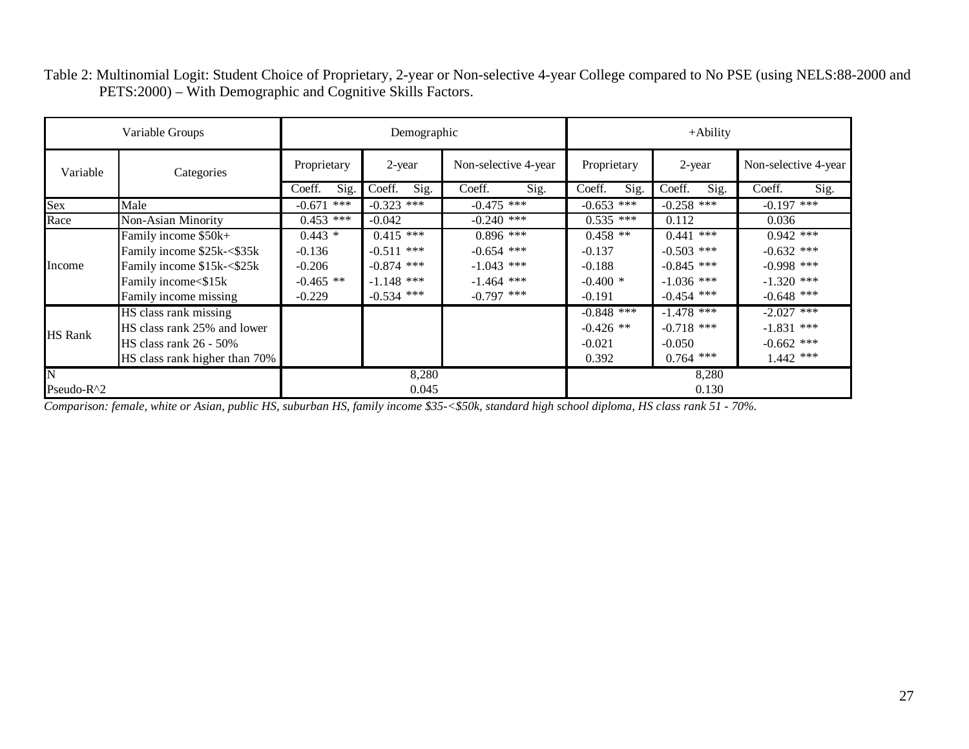|                         | Variable Groups               | Demographic                       |                |                       | $+A$ bility    |                      |                |
|-------------------------|-------------------------------|-----------------------------------|----------------|-----------------------|----------------|----------------------|----------------|
| Variable<br>Categories  | Proprietary                   | Non-selective 4-year<br>$2$ -year |                | 2-year<br>Proprietary |                | Non-selective 4-year |                |
|                         |                               | Sig.<br>Coeff.                    | Coeff.<br>Sig. | Coeff.<br>Sig.        | Coeff.<br>Sig. | Coeff.<br>Sig.       | Sig.<br>Coeff. |
| Sex                     | Male                          | ***<br>$-0.671$                   | $-0.323$ ***   | $-0.475$ ***          | $-0.653$ ***   | $-0.258$ ***         | $-0.197$ ***   |
| Race                    | Non-Asian Minority            | $0.453$ ***                       | $-0.042$       | $-0.240$ ***          | $0.535$ ***    | 0.112                | 0.036          |
|                         | Family income \$50k+          | $0.443*$                          | $0.415$ ***    | $0.896$ ***           | $0.458$ **     | $0.441$ ***          | $0.942$ ***    |
|                         | Family income \$25k-<\$35k    | $-0.136$                          | $-0.511$ ***   | $-0.654$ ***          | $-0.137$       | $-0.503$ ***         | $-0.632$ ***   |
| Income                  | Family income \$15k-<\$25k    | $-0.206$                          | $-0.874$ ***   | $-1.043$ ***          | $-0.188$       | $-0.845$ ***         | $-0.998$ ***   |
|                         | Family income<\$15k           | $-0.465$ **                       | $-1.148$ ***   | $-1.464$ ***          | $-0.400*$      | $-1.036$ ***         | $-1.320$ ***   |
|                         | Family income missing         | $-0.229$                          | $-0.534$ ***   | $-0.797$ ***          | $-0.191$       | $-0.454$ ***         | $-0.648$ ***   |
|                         | HS class rank missing         |                                   |                |                       | $-0.848$ ***   | $-1.478$ ***         | $-2.027$ ***   |
| <b>HS Rank</b>          | HS class rank 25% and lower   |                                   |                |                       | $-0.426$ **    | $-0.718$ ***         | $-1.831$ ***   |
|                         | HS class rank 26 - 50%        |                                   |                |                       | $-0.021$       | $-0.050$             | $-0.662$ ***   |
|                         | HS class rank higher than 70% |                                   |                |                       | 0.392          | $0.764$ ***          | $1.442$ ***    |
| $\overline{\mathbf{N}}$ |                               |                                   | 8,280          |                       |                | 8,280                |                |
| Pseudo-R^2              |                               |                                   | 0.045          |                       |                | 0.130                |                |

Table 2: Multinomial Logit: Student Choice of Proprietary, 2-year or Non-selective 4-year College compared to No PSE (using NELS:88-2000 and PETS:2000) – With Demographic and Cognitive Skills Factors.

*Comparison: female, white or Asian, public HS, suburban HS, family income \$35-<\$50k, standard high school diploma, HS class rank 51 - 70%.*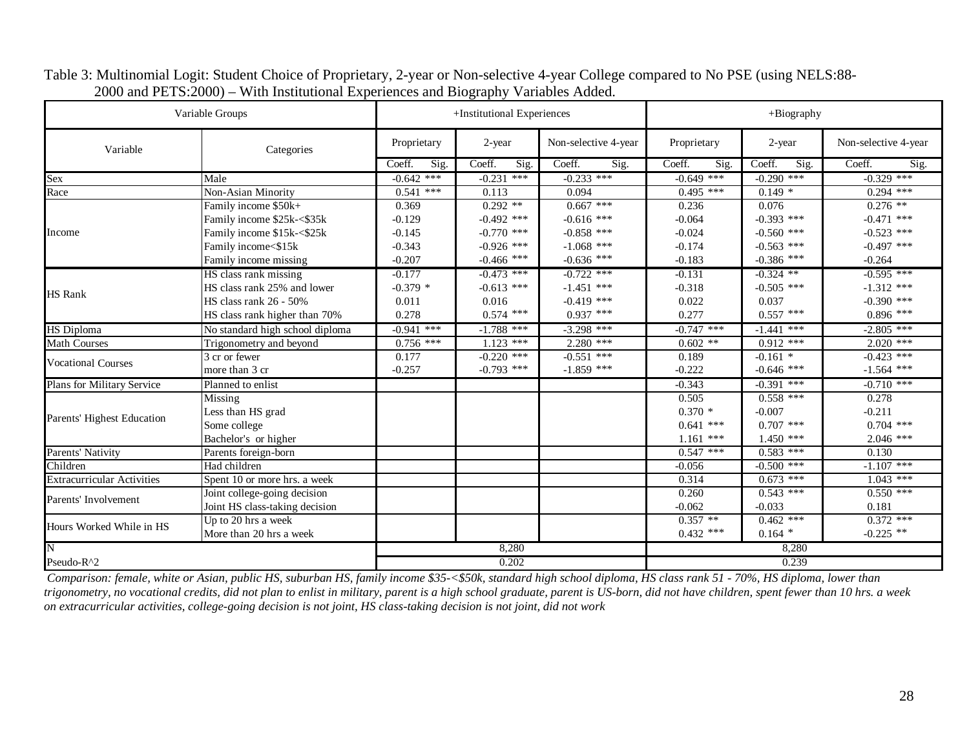|                                   | Variable Groups                 |                | +Institutional Experiences |                      |                | +Biography     |                      |  |
|-----------------------------------|---------------------------------|----------------|----------------------------|----------------------|----------------|----------------|----------------------|--|
| Variable                          | Categories                      | Proprietary    | 2-year                     | Non-selective 4-year | Proprietary    | 2-year         | Non-selective 4-year |  |
|                                   |                                 | Coeff.<br>Sig. | Coeff.<br>Sig.             | Coeff.<br>Sig.       | Coeff.<br>Sig. | Coeff.<br>Sig. | Coeff.<br>Sig.       |  |
| Sex<br>Race                       | Male                            | $-0.642$ ***   | $-0.231$ ***               | $-0.233$ ***         | $-0.649$ ***   | $-0.290$ ***   | $-0.329$ ***         |  |
|                                   | Non-Asian Minority              | $0.541$ ***    | 0.113                      | 0.094                | $0.495$ ***    | $0.149*$       | $0.294$ ***          |  |
|                                   | Family income \$50k+            | 0.369          | $0.292**$                  | $0.667$ ***          | 0.236          | 0.076          | $0.276$ **           |  |
|                                   | Family income \$25k-<\$35k      | $-0.129$       | $-0.492$ ***               | $-0.616$ ***         | $-0.064$       | $-0.393$ ***   | $-0.471$ ***         |  |
| Income                            | Family income \$15k-<\$25k      | $-0.145$       | $-0.770$ ***               | $-0.858$ ***         | $-0.024$       | $-0.560$ ***   | $-0.523$ ***         |  |
|                                   | Family income<\$15k             | $-0.343$       | $-0.926$ ***               | $-1.068$ ***         | $-0.174$       | $-0.563$ ***   | $-0.497$ ***         |  |
|                                   | Family income missing           | $-0.207$       | $-0.466$ ***               | $-0.636$ ***         | $-0.183$       | $-0.386$ ***   | $-0.264$             |  |
|                                   | HS class rank missing           | $-0.177$       | $-0.473$ ***               | $-0.722$ ***         | $-0.131$       | $-0.324$ **    | $-0.595$ ***         |  |
|                                   | HS class rank 25% and lower     | $-0.379*$      | $-0.613$ ***               | $-1.451$ ***         | $-0.318$       | $-0.505$ ***   | $-1.312$ ***         |  |
| <b>HS</b> Rank                    | HS class rank 26 - 50%          | 0.011          | 0.016                      | $-0.419$ ***         | 0.022          | 0.037          | $-0.390$ ***         |  |
|                                   | HS class rank higher than 70%   | 0.278          | $0.574$ ***                | $0.937$ ***          | 0.277          | $0.557$ ***    | $0.896$ ***          |  |
| <b>HS</b> Diploma                 | No standard high school diploma | $-0.941$ ***   | $-1.788$ ***               | $-3.298$ ***         | $-0.747$ ***   | $-1.441$ ***   | $-2.805$ ***         |  |
| Math Courses                      | Trigonometry and beyond         | $0.756$ ***    | $1.123$ ***                | $2.280$ ***          | $0.602$ **     | $0.912$ ***    | $2.020$ ***          |  |
| <b>Vocational Courses</b>         | 3 cr or fewer                   | 0.177          | $-0.220$ ***               | $-0.551$ ***         | 0.189          | $-0.161$ *     | $-0.423$ ***         |  |
|                                   | more than 3 cr                  | $-0.257$       | $-0.793$ ***               | $-1.859$ ***         | $-0.222$       | $-0.646$ ***   | $-1.564$ ***         |  |
| <b>Plans for Military Service</b> | Planned to enlist               |                |                            |                      | $-0.343$       | $-0.391$ ***   | $-0.710$ ***         |  |
|                                   | Missing                         |                |                            |                      | 0.505          | $0.558$ ***    | 0.278                |  |
|                                   | Less than HS grad               |                |                            |                      | $0.370*$       | $-0.007$       | $-0.211$             |  |
| Parents' Highest Education        | Some college                    |                |                            |                      | $0.641$ ***    | $0.707$ ***    | $0.704$ ***          |  |
|                                   | Bachelor's or higher            |                |                            |                      | $1.161$ ***    | $1.450$ ***    | $2.046$ ***          |  |
| Parents' Nativity                 | Parents foreign-born            |                |                            |                      | $0.547$ ***    | $0.583$ ***    | 0.130                |  |
| Children                          | Had children                    |                |                            |                      | $-0.056$       | $-0.500$ ***   | $-1.107$ ***         |  |
| <b>Extracurricular Activities</b> | Spent 10 or more hrs. a week    |                |                            |                      | 0.314          | $0.673$ ***    | $1.043$ ***          |  |
|                                   | Joint college-going decision    |                |                            |                      | 0.260          | $0.543$ ***    | $0.550$ ***          |  |
| Parents' Involvement              | Joint HS class-taking decision  |                |                            |                      | $-0.062$       | $-0.033$       | 0.181                |  |
| Hours Worked While in HS          | Up to 20 hrs a week             |                |                            |                      | $0.357**$      | $0.462$ ***    | $0.372$ ***          |  |
|                                   | More than 20 hrs a week         |                |                            |                      | $0.432$ ***    | $0.164*$       | $-0.225$ **          |  |
| $\overline{\rm N}$                |                                 | 8,280          |                            |                      | 8,280          |                |                      |  |
| Pseudo-R^2                        |                                 | 0.202          |                            |                      | 0.239          |                |                      |  |

Table 3: Multinomial Logit: Student Choice of Proprietary, 2-year or Non-selective 4-year College compared to No PSE (using NELS:88- 2000 and PETS:2000) – With Institutional Experiences and Biography Variables Added.

 *Comparison: female, white or Asian, public HS, suburban HS, family income \$35-<\$50k, standard high school diploma, HS class rank 51 - 70%, HS diploma, lower than trigonometry, no vocational credits, did not plan to enlist in military, parent is a high school graduate, parent is US-born, did not have children, spent fewer than 10 hrs. a week on extracurricular activities, college-going decision is not joint, HS class-taking decision is not joint, did not work*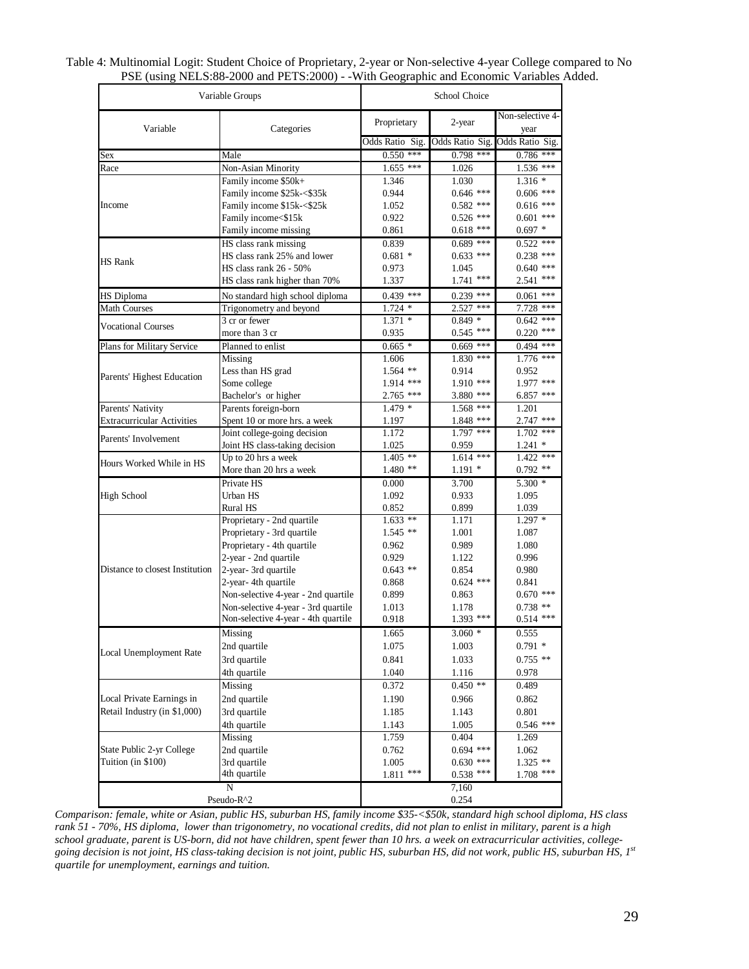| Variable Groups                   |                                     | School Choice        |                      |                                 |  |
|-----------------------------------|-------------------------------------|----------------------|----------------------|---------------------------------|--|
| Variable                          | Categories                          | Proprietary          | 2-year               | Non-selective 4-<br>year        |  |
|                                   |                                     | Odds Ratio Sig.      |                      | Odds Ratio Sig. Odds Ratio Sig. |  |
| Sex                               | Male                                | $0.550$ ***          | $0.798$ ***          | $0.786$ ***                     |  |
| Race                              | Non-Asian Minority                  | $1.655$ ***          | 1.026                | 1.536 ***                       |  |
|                                   | Family income \$50k+                | 1.346                | 1.030                | $1.316*$                        |  |
|                                   | Family income \$25k-<\$35k          | 0.944                | $0.646$ ***          | $0.606$ ***                     |  |
| Income                            | Family income \$15k-<\$25k          | 1.052                | $0.582$ ***          | $0.616$ ***                     |  |
|                                   | Family income<\$15k                 | 0.922                | $0.526$ ***          | $0.601$ ***                     |  |
|                                   | Family income missing               | 0.861                | $0.618$ ***          | $0.697*$                        |  |
|                                   | HS class rank missing               | 0.839                | $0.689$ ***          | $0.522$ ***                     |  |
| <b>HS</b> Rank                    | HS class rank 25% and lower         | $0.681*$             | $0.633$ ***          | $0.238$ ***                     |  |
|                                   | HS class rank 26 - 50%              | 0.973                | 1.045                | $0.640$ ***                     |  |
|                                   | HS class rank higher than 70%       | 1.337                | $1.741$ ***          | $2.541$ ***                     |  |
| <b>HS</b> Diploma                 | No standard high school diploma     | $0.439$ ***          | $0.239$ ***          | $0.061$ ***                     |  |
| Math Courses                      | Trigonometry and beyond             | $1.724*$             | $2.527$ ***          | 7.728 ***                       |  |
| <b>Vocational Courses</b>         | 3 cr or fewer                       | $1.371*$             | $0.849*$             | $0.642$ ***                     |  |
|                                   | more than 3 cr                      | 0.935                | $0.545$ ***          | $0.220$ ***                     |  |
| Plans for Military Service        | Planned to enlist                   | $0.665*$             | $0.669$ ***          | $0.494$ ***                     |  |
|                                   | Missing                             | 1.606                | $1.830$ ***          | 1.776 ***                       |  |
|                                   | Less than HS grad                   | $1.564$ **           | 0.914                | 0.952                           |  |
| Parents' Highest Education        | Some college                        | 1.914 ***            | $1.910$ ***          | $1.977$ ***                     |  |
|                                   | Bachelor's or higher                | $2.765$ ***          | 3.880 ***            | 6.857 ***                       |  |
| Parents' Nativity                 | Parents foreign-born                | $1.\overline{479}$ * | $1.568$ ***          | 1.201                           |  |
| <b>Extracurricular Activities</b> | Spent 10 or more hrs. a week        | 1.197                | 1.848 ***            | 2.747 ***                       |  |
| Parents' Involvement              | Joint college-going decision        | 1.172                | $1.797$ ***          | $1.702$ ***                     |  |
|                                   | Joint HS class-taking decision      | 1.025                | 0.959                | $1.241*$                        |  |
| Hours Worked While in HS          | Up to 20 hrs a week                 | $1.405$ **           | $1.614$ ***          | $1.422$ ***                     |  |
|                                   | More than 20 hrs a week             | $1.480**$            | $1.191 *$            | $0.792$ **                      |  |
|                                   | Private HS                          | 0.000                | 3.700                | $5.300*$                        |  |
| <b>High School</b>                | Urban HS                            | 1.092                | 0.933                | 1.095                           |  |
|                                   | <b>Rural HS</b>                     | 0.852                | 0.899                | 1.039                           |  |
|                                   | Proprietary - 2nd quartile          | $1.633$ **           | 1.171                | $1.297*$                        |  |
|                                   | Proprietary - 3rd quartile          | $1.545**$            | 1.001                | 1.087                           |  |
|                                   | Proprietary - 4th quartile          | 0.962                | 0.989                | 1.080                           |  |
|                                   | 2-year - 2nd quartile               | 0.929                | 1.122                | 0.996                           |  |
| Distance to closest Institution   | 2-year-3rd quartile                 | $0.643**$            | 0.854                | 0.980                           |  |
|                                   | 2-year- 4th quartile                | 0.868                | $0.624$ ***          | 0.841                           |  |
|                                   | Non-selective 4-year - 2nd quartile | 0.899                | 0.863                | $0.670$ ***                     |  |
|                                   | Non-selective 4-year - 3rd quartile | 1.013                | 1.178<br>$1.393$ *** | $0.738$ **<br>$0.514$ ***       |  |
|                                   | Non-selective 4-year - 4th quartile | 0.918                |                      |                                 |  |
|                                   | Missing                             | 1.665                | $3.060*$             | 0.555                           |  |
| Local Unemployment Rate           | 2nd quartile                        | 1.075                | 1.003                | $0.791$ *                       |  |
|                                   | 3rd quartile                        | 0.841                | 1.033                | $0.755$ **                      |  |
|                                   | 4th quartile                        | 1.040                | 1.116                | 0.978                           |  |
|                                   | Missing                             | 0.372                | $0.450**$            | 0.489                           |  |
| Local Private Earnings in         | 2nd quartile                        | 1.190                | 0.966                | 0.862                           |  |
| Retail Industry (in \$1,000)      | 3rd quartile                        | 1.185                | 1.143                | 0.801                           |  |
|                                   | 4th quartile                        | 1.143                | 1.005                | $0.546$ ***                     |  |
|                                   | Missing                             | 1.759                | 0.404                | 1.269                           |  |
| State Public 2-yr College         | 2nd quartile                        | 0.762                | $0.694$ ***          | 1.062                           |  |
| Tuition (in \$100)                | 3rd quartile                        | 1.005                | $0.630$ ***          | $1.325$ **                      |  |
|                                   | 4th quartile                        | $1.811$ ***          | $0.538$ ***          | $1.708$ ***                     |  |
|                                   | N                                   |                      | 7,160                |                                 |  |
| Pseudo-R^2                        |                                     |                      | 0.254                |                                 |  |

| Table 4: Multinomial Logit: Student Choice of Proprietary, 2-year or Non-selective 4-year College compared to No |  |
|------------------------------------------------------------------------------------------------------------------|--|
| PSE (using NELS:88-2000 and PETS:2000) - - With Geographic and Economic Variables Added.                         |  |

*Comparison: female, white or Asian, public HS, suburban HS, family income \$35-<\$50k, standard high school diploma, HS class rank 51 - 70%, HS diploma, lower than trigonometry, no vocational credits, did not plan to enlist in military, parent is a high school graduate, parent is US-born, did not have children, spent fewer than 10 hrs. a week on extracurricular activities, collegegoing decision is not joint, HS class-taking decision is not joint, public HS, suburban HS, did not work, public HS, suburban HS, 1st quartile for unemployment, earnings and tuition.*